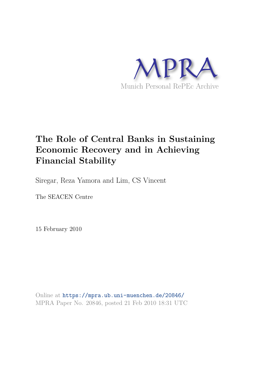

# **The Role of Central Banks in Sustaining Economic Recovery and in Achieving Financial Stability**

Siregar, Reza Yamora and Lim, CS Vincent

The SEACEN Centre

15 February 2010

Online at https://mpra.ub.uni-muenchen.de/20846/ MPRA Paper No. 20846, posted 21 Feb 2010 18:31 UTC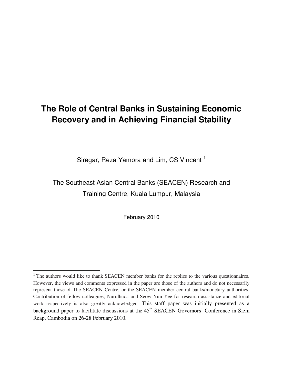# **The Role of Central Banks in Sustaining Economic Recovery and in Achieving Financial Stability**

Siregar, Reza Yamora and Lim, CS Vincent<sup>1</sup>

The Southeast Asian Central Banks (SEACEN) Research and Training Centre, Kuala Lumpur, Malaysia

February 2010

<sup>&</sup>lt;sup>1</sup> The authors would like to thank SEACEN member banks for the replies to the various questionnaires. However, the views and comments expressed in the paper are those of the authors and do not necessarily represent those of The SEACEN Centre, or the SEACEN member central banks/monetary authorities. Contribution of fellow colleagues, Nurulhuda and Seow Yun Yee for research assistance and editorial work respectively is also greatly acknowledged. This staff paper was initially presented as a background paper to facilitate discussions at the  $45<sup>th</sup>$  SEACEN Governors' Conference in Siem Reap, Cambodia on 26-28 February 2010.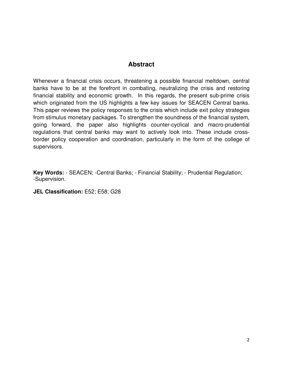# **Abstract**

Whenever a financial crisis occurs, threatening a possible financial meltdown, central banks have to be at the forefront in combating, neutralizing the crisis and restoring financial stability and economic growth. In this regards, the present sub-prime crisis which originated from the US highlights a few key issues for SEACEN Central banks. This paper reviews the policy responses to the crisis which include exit policy strategies from stimulus monetary packages. To strengthen the soundness of the financial system, going forward, the paper also highlights counter-cyclical and macro-prudential regulations that central banks may want to actively look into. These include crossborder policy cooperation and coordination, particularly in the form of the college of supervisors.

**Key Words:** - SEACEN; -Central Banks; - Financial Stability; - Prudential Regulation; -Supervision.

**JEL Classification:** E52; E58; G28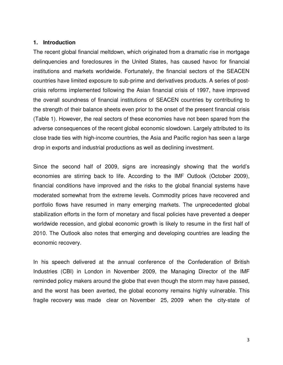#### **1. Introduction**

The recent global financial meltdown, which originated from a dramatic rise in mortgage delinquencies and foreclosures in the United States, has caused havoc for financial institutions and markets worldwide. Fortunately, the financial sectors of the SEACEN countries have limited exposure to sub-prime and derivatives products. A series of postcrisis reforms implemented following the Asian financial crisis of 1997, have improved the overall soundness of financial institutions of SEACEN countries by contributing to the strength of their balance sheets even prior to the onset of the present financial crisis (Table 1). However, the real sectors of these economies have not been spared from the adverse consequences of the recent global economic slowdown. Largely attributed to its close trade ties with high-income countries, the Asia and Pacific region has seen a large drop in exports and industrial productions as well as declining investment.

Since the second half of 2009, signs are increasingly showing that the world's economies are stirring back to life. According to the IMF Outlook (October 2009), financial conditions have improved and the risks to the global financial systems have moderated somewhat from the extreme levels. Commodity prices have recovered and portfolio flows have resumed in many emerging markets. The unprecedented global stabilization efforts in the form of monetary and fiscal policies have prevented a deeper worldwide recession, and global economic growth is likely to resume in the first half of 2010. The Outlook also notes that emerging and developing countries are leading the economic recovery.

In his speech delivered at the annual conference of the Confederation of British Industries (CBI) in London in November 2009, the Managing Director of the IMF reminded policy makers around the globe that even though the storm may have passed, and the worst has been averted, the global economy remains highly vulnerable. This fragile recovery was made clear on November 25, 2009 when the city-state of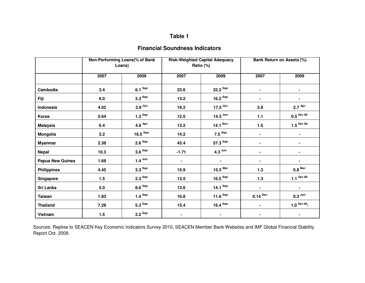# **Table 1**

# **Financial Soundness Indicators**

|                    |      | Non-Performing Loans(% of Bank<br>Loans) | <b>Risk-Weighted Capital Adequacy</b><br>Ratio (%) |                        |                | <b>Bank Return on Assets (%)</b> |
|--------------------|------|------------------------------------------|----------------------------------------------------|------------------------|----------------|----------------------------------|
|                    | 2007 | 2009                                     | 2007                                               | 2009                   | 2007           | 2009                             |
| Cambodia           | 3.4  | $6.1$ Sep/                               | 23.6                                               | $32.2$ Sep/            | $\blacksquare$ | $\blacksquare$                   |
| Fiji               | 6.0  | $3.3$ Sep/                               | 13.2                                               | 16.2 $\text{Sep/}$     |                |                                  |
| Indonesia          | 4.02 | $3.9$ <sup>Oct/</sup>                    | 19.2                                               | 17.5 $^{Oct/}$         | 2.8            | $2.7$ Apr/                       |
| Korea              | 0.64 | $1.2$ Sep/                               | 12.0                                               | $14.3$ Jun/            | $1.1$          | $0.5^{Dec 08/}$                  |
| <b>Malaysia</b>    | 6.4  | 4.6 $_{\text{Apr/}}$                     | 13.2                                               | 14.1 $^{Nov/}$         | 1.5            | 1.5 $^{Dec~08/}$                 |
| Mongolia           | 3.2  | 16.5 $\text{Sep}$                        | 14.2                                               | $7.5$ Sep/             | -              | ٠                                |
| <b>Myanmar</b>     | 2.38 | $2.6$ Sep/                               | 43.4                                               | $57.3$ <sup>Sep/</sup> | $\blacksquare$ | $\blacksquare$                   |
| <b>Nepal</b>       | 10.3 | $3.6 S^{ep/}$                            | $-1.71$                                            | $4.3$ Jun/             | $\blacksquare$ | $\blacksquare$                   |
| Papua New Guinea   | 1.68 | $1.4$ Jun/                               | $\blacksquare$                                     | $\blacksquare$         | $\blacksquare$ | $\blacksquare$                   |
| <b>Philippines</b> | 4.45 | $3.3$ Sep/                               | 15.9                                               | $15.5$ Mar/            | $1.3$          | $0.8$ $^{\rm{Mar/}}$             |
| <b>Singapore</b>   | 1.5  | $2.3$ Sep/                               | 13.5                                               | 16.5 $\text{Sep/}$     | $1.3$          | 1.1 $Dec 08/$                    |
| Sri Lanka          | 5.0  | $8.6$ Sep/                               | 13.6                                               | 14.1 $\text{Sep}$      | $\blacksquare$ | $\blacksquare$                   |
| <b>Taiwan</b>      | 1.83 | $1.4$ Sep/                               | 10.8                                               | 11.6 $\text{Sep}$      | $0.14^{$ Dec/  | $0.3$ Jun/                       |
| <b>Thailand</b>    | 7.28 | $5.3$ <sup>Sep/</sup>                    | 15.4                                               | 16.4 $\text{Sep}$      |                | 1.0 $Dec 08/$                    |
| Vietnam            | 1.5  | $2.2$ Sep/                               | $\blacksquare$                                     |                        |                |                                  |

Sources: Replies to SEACEN Key Economic Indicators Survey 2010, SEACEN Member Bank Websites and IMF Global Financial Stability Report Oct. 2009.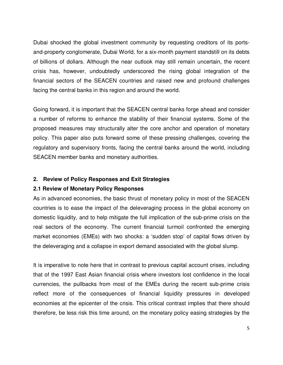Dubai shocked the global investment community by requesting creditors of its portsand-property conglomerate, Dubai World, for a six-month payment standstill on its debts of billions of dollars. Although the near outlook may still remain uncertain, the recent crisis has, however, undoubtedly underscored the rising global integration of the financial sectors of the SEACEN countries and raised new and profound challenges facing the central banks in this region and around the world.

Going forward, it is important that the SEACEN central banks forge ahead and consider a number of reforms to enhance the stability of their financial systems. Some of the proposed measures may structurally alter the core anchor and operation of monetary policy. This paper also puts forward some of these pressing challenges, covering the regulatory and supervisory fronts, facing the central banks around the world, including SEACEN member banks and monetary authorities.

## **2. Review of Policy Responses and Exit Strategies**

#### **2.1 Review of Monetary Policy Responses**

As in advanced economies, the basic thrust of monetary policy in most of the SEACEN countries is to ease the impact of the deleveraging process in the global economy on domestic liquidity, and to help mitigate the full implication of the sub-prime crisis on the real sectors of the economy. The current financial turmoil confronted the emerging market economies (EMEs) with two shocks: a 'sudden stop' of capital flows driven by the deleveraging and a collapse in export demand associated with the global slump.

It is imperative to note here that in contrast to previous capital account crises, including that of the 1997 East Asian financial crisis where investors lost confidence in the local currencies, the pullbacks from most of the EMEs during the recent sub-prime crisis reflect more of the consequences of financial liquidity pressures in developed economies at the epicenter of the crisis. This critical contrast implies that there should therefore, be less risk this time around, on the monetary policy easing strategies by the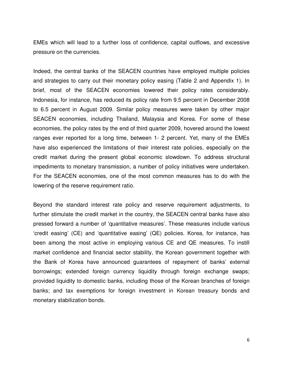EMEs which will lead to a further loss of confidence, capital outflows, and excessive pressure on the currencies.

Indeed, the central banks of the SEACEN countries have employed multiple policies and strategies to carry out their monetary policy easing (Table 2 and Appendix 1). In brief, most of the SEACEN economies lowered their policy rates considerably. Indonesia, for instance, has reduced its policy rate from 9.5 percent in December 2008 to 6.5 percent in August 2009. Similar policy measures were taken by other major SEACEN economies, including Thailand, Malaysia and Korea. For some of these economies, the policy rates by the end of third quarter 2009, hovered around the lowest ranges ever reported for a long time, between 1- 2 percent. Yet, many of the EMEs have also experienced the limitations of their interest rate policies, especially on the credit market during the present global economic slowdown. To address structural impediments to monetary transmission, a number of policy initiatives were undertaken. For the SEACEN economies, one of the most common measures has to do with the lowering of the reserve requirement ratio.

Beyond the standard interest rate policy and reserve requirement adjustments, to further stimulate the credit market in the country, the SEACEN central banks have also pressed forward a number of 'quantitative measures'. These measures include various 'credit easing' (CE) and 'quantitative easing' (QE) policies. Korea, for instance, has been among the most active in employing various CE and QE measures. To instill market confidence and financial sector stability, the Korean government together with the Bank of Korea have announced guarantees of repayment of banks' external borrowings; extended foreign currency liquidity through foreign exchange swaps; provided liquidity to domestic banks, including those of the Korean branches of foreign banks; and tax exemptions for foreign investment in Korean treasury bonds and monetary stabilization bonds.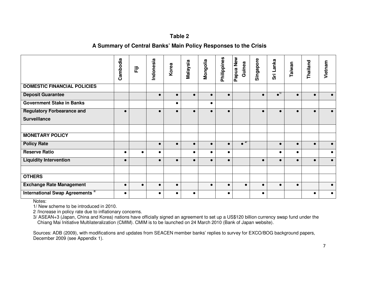## **Table 2**

### **A Summary of Central Banks' Main Policy Responses to the Crisis**

|                                             | Cambodia  | 定         | Indonesia | Korea     | Malaysia  | Mongolia  | Philippines | <b>New</b><br>Guinea<br>Papua <sup>l</sup> | Singapore | Sri Lanka            | Taiwan    | Thailand  | Vietnam   |
|---------------------------------------------|-----------|-----------|-----------|-----------|-----------|-----------|-------------|--------------------------------------------|-----------|----------------------|-----------|-----------|-----------|
| <b>DOMESTIC FINANCIAL POLICIES</b>          |           |           |           |           |           |           |             |                                            |           |                      |           |           |           |
| <b>Deposit Guarantee</b>                    |           |           | $\bullet$ |           | $\bullet$ | $\bullet$ | $\bullet$   |                                            | $\bullet$ | $\bullet^{\text{T}}$ | $\bullet$ | $\bullet$ |           |
| <b>Government Stake in Banks</b>            |           |           |           | $\bullet$ |           | $\bullet$ |             |                                            |           |                      |           |           |           |
| <b>Regulatory Forbearance and</b>           | $\bullet$ |           | $\bullet$ |           |           | $\bullet$ | $\bullet$   |                                            | $\bullet$ | $\bullet$            | $\bullet$ | $\bullet$ | $\bullet$ |
| <b>Surveillance</b>                         |           |           |           |           |           |           |             |                                            |           |                      |           |           |           |
|                                             |           |           |           |           |           |           |             |                                            |           |                      |           |           |           |
| <b>MONETARY POLICY</b>                      |           |           |           |           |           |           |             |                                            |           |                      |           |           |           |
| <b>Policy Rate</b>                          |           |           | $\bullet$ |           | $\bullet$ | $\bullet$ | $\bullet$   | $\bullet$ <sup>2/</sup>                    |           | $\bullet$            | $\bullet$ | $\bullet$ | $\bullet$ |
| <b>Reserve Ratio</b>                        | $\bullet$ | $\bullet$ | $\bullet$ |           | $\bullet$ | $\bullet$ | $\bullet$   |                                            |           | $\bullet$            | $\bullet$ |           | $\bullet$ |
| <b>Liquidity Intervention</b>               | $\bullet$ |           | $\bullet$ |           | $\bullet$ | $\bullet$ | $\bullet$   |                                            | $\bullet$ | $\bullet$            | $\bullet$ | $\bullet$ | $\bullet$ |
|                                             |           |           |           |           |           |           |             |                                            |           |                      |           |           |           |
| <b>OTHERS</b>                               |           |           |           |           |           |           |             |                                            |           |                      |           |           |           |
| <b>Exchange Rate Management</b>             | $\bullet$ | $\bullet$ | $\bullet$ | $\bullet$ |           | $\bullet$ | $\bullet$   | $\bullet$                                  | $\bullet$ | $\bullet$            | $\bullet$ |           | $\bullet$ |
| International Swap Agreements <sup>3/</sup> | $\bullet$ |           | $\bullet$ |           | $\bullet$ |           | $\bullet$   |                                            | $\bullet$ |                      |           | $\bullet$ | $\bullet$ |

Notes:

1/ New scheme to be introduced in 2010.

2 /Increase in policy rate due to inflationary concerns.

3/ ASEAN+3 (Japan, China and Korea) nations have officially signed an agreement to set up a US\$120 billion currency swap fund under the Chiang Mai Initiative Multilateralization (CMIM). CMIM is to be launched on 24 March 2010 (Bank of Japan website).

Sources: ADB (2009), with modifications and updates from SEACEN member banks' replies to survey for EXCO/BOG background papers, December 2009 (see Appendix 1).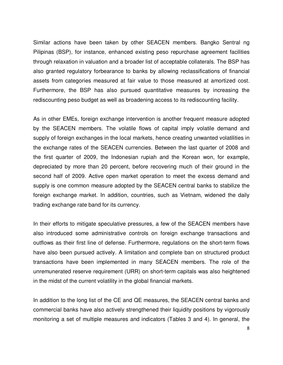Similar actions have been taken by other SEACEN members. Bangko Sentral ng Pilipinas (BSP), for instance, enhanced existing peso repurchase agreement facilities through relaxation in valuation and a broader list of acceptable collaterals. The BSP has also granted regulatory forbearance to banks by allowing reclassifications of financial assets from categories measured at fair value to those measured at amortized cost. Furthermore, the BSP has also pursued quantitative measures by increasing the rediscounting peso budget as well as broadening access to its rediscounting facility.

As in other EMEs, foreign exchange intervention is another frequent measure adopted by the SEACEN members. The volatile flows of capital imply volatile demand and supply of foreign exchanges in the local markets, hence creating unwanted volatilities in the exchange rates of the SEACEN currencies. Between the last quarter of 2008 and the first quarter of 2009, the Indonesian rupiah and the Korean won, for example, depreciated by more than 20 percent, before recovering much of their ground in the second half of 2009. Active open market operation to meet the excess demand and supply is one common measure adopted by the SEACEN central banks to stabilize the foreign exchange market. In addition, countries, such as Vietnam, widened the daily trading exchange rate band for its currency.

In their efforts to mitigate speculative pressures, a few of the SEACEN members have also introduced some administrative controls on foreign exchange transactions and outflows as their first line of defense. Furthermore, regulations on the short-term flows have also been pursued actively. A limitation and complete ban on structured product transactions have been implemented in many SEACEN members. The role of the unremunerated reserve requirement (URR) on short-term capitals was also heightened in the midst of the current volatility in the global financial markets.

In addition to the long list of the CE and QE measures, the SEACEN central banks and commercial banks have also actively strengthened their liquidity positions by vigorously monitoring a set of multiple measures and indicators (Tables 3 and 4). In general, the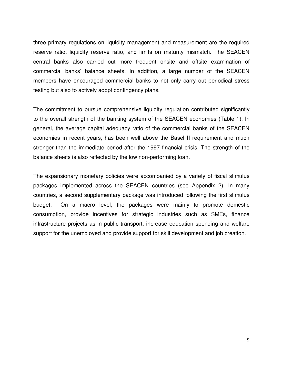three primary regulations on liquidity management and measurement are the required reserve ratio, liquidity reserve ratio, and limits on maturity mismatch. The SEACEN central banks also carried out more frequent onsite and offsite examination of commercial banks' balance sheets. In addition, a large number of the SEACEN members have encouraged commercial banks to not only carry out periodical stress testing but also to actively adopt contingency plans.

The commitment to pursue comprehensive liquidity regulation contributed significantly to the overall strength of the banking system of the SEACEN economies (Table 1). In general, the average capital adequacy ratio of the commercial banks of the SEACEN economies in recent years, has been well above the Basel II requirement and much stronger than the immediate period after the 1997 financial crisis. The strength of the balance sheets is also reflected by the low non-performing loan.

The expansionary monetary policies were accompanied by a variety of fiscal stimulus packages implemented across the SEACEN countries (see Appendix 2). In many countries, a second supplementary package was introduced following the first stimulus budget. On a macro level, the packages were mainly to promote domestic consumption, provide incentives for strategic industries such as SMEs, finance infrastructure projects as in public transport, increase education spending and welfare support for the unemployed and provide support for skill development and job creation.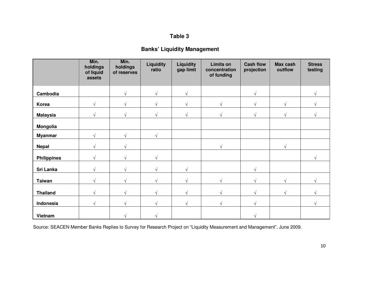# **Table 3**

# **Banks' Liquidity Management**

|                    | Min.<br>holdings<br>of liquid<br>assets | Min.<br>holdings<br>of reserves | Liquidity<br>ratio | <b>Liquidity</b><br>gap limit | <b>Limits on</b><br>concentration<br>of funding | <b>Cash flow</b><br>projection | Max cash<br>outflow | <b>Stress</b><br>testing |
|--------------------|-----------------------------------------|---------------------------------|--------------------|-------------------------------|-------------------------------------------------|--------------------------------|---------------------|--------------------------|
| Cambodia           |                                         | $\sqrt{ }$                      | $\sqrt{ }$         | $\sqrt{ }$                    |                                                 |                                |                     | $\mathcal{N}$            |
| Korea              | $\sqrt{ }$                              | $\sqrt{}$                       | $\sqrt{ }$         | $\sqrt{ }$                    | $\sqrt{ }$                                      | V                              | $\sqrt{}$           |                          |
| <b>Malaysia</b>    | اد                                      | V                               | $\sqrt{ }$         | $\sqrt{ }$                    | $\mathcal{N}$                                   | V                              | V                   |                          |
| Mongolia           |                                         |                                 |                    |                               |                                                 |                                |                     |                          |
| <b>Myanmar</b>     | $\sqrt{ }$                              | $\sqrt{}$                       | $\sqrt{ }$         |                               |                                                 |                                |                     |                          |
| <b>Nepal</b>       | $\sqrt{ }$                              | V                               |                    |                               | $\sqrt{ }$                                      |                                | $\sqrt{}$           |                          |
| <b>Philippines</b> |                                         |                                 | $\sqrt{ }$         |                               |                                                 |                                |                     | $\mathcal{N}$            |
| Sri Lanka          | اد                                      |                                 | $\sqrt{ }$         | $\sqrt{ }$                    |                                                 | $\sqrt{}$                      |                     |                          |
| <b>Taiwan</b>      | $\sqrt{ }$                              | V                               | $\sqrt{ }$         | $\sqrt{ }$                    | V                                               |                                | $\sqrt{}$           |                          |
| <b>Thailand</b>    | اد                                      | V                               | $\mathcal{N}$      | $\sqrt{ }$                    |                                                 |                                | N                   |                          |
| Indonesia          | $\sqrt{ }$                              | $\sqrt{}$                       | $\sqrt{ }$         | $\sqrt{ }$                    | $\sqrt{ }$                                      | V                              |                     | V                        |
| Vietnam            |                                         |                                 |                    |                               |                                                 |                                |                     |                          |

Source: SEACEN Member Banks Replies to Survey for Research Project on "Liquidity Measurement and Management", June 2009.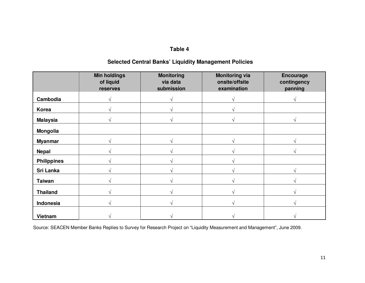# **Table 4**

# **Selected Central Banks' Liquidity Management Policies**

|                    | <b>Min holdings</b><br>of liquid<br>reserves | <b>Monitoring</b><br>via data<br>submission | <b>Monitoring via</b><br>onsite/offsite<br>examination | <b>Encourage</b><br>contingency<br>panning |
|--------------------|----------------------------------------------|---------------------------------------------|--------------------------------------------------------|--------------------------------------------|
| Cambodia           |                                              |                                             |                                                        |                                            |
| Korea              |                                              |                                             |                                                        |                                            |
| <b>Malaysia</b>    |                                              |                                             |                                                        |                                            |
| <b>Mongolia</b>    |                                              |                                             |                                                        |                                            |
| <b>Myanmar</b>     |                                              |                                             |                                                        |                                            |
| <b>Nepal</b>       |                                              |                                             |                                                        |                                            |
| <b>Philippines</b> |                                              |                                             |                                                        |                                            |
| Sri Lanka          |                                              |                                             |                                                        |                                            |
| <b>Taiwan</b>      |                                              |                                             |                                                        |                                            |
| <b>Thailand</b>    |                                              |                                             |                                                        |                                            |
| Indonesia          |                                              |                                             |                                                        |                                            |
| Vietnam            |                                              |                                             |                                                        |                                            |

Source: SEACEN Member Banks Replies to Survey for Research Project on "Liquidity Measurement and Management", June 2009.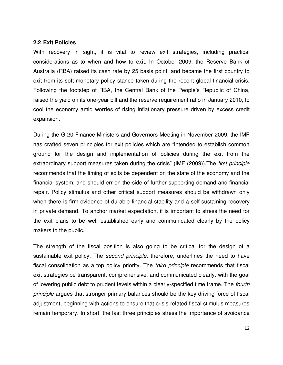#### **2.2 Exit Policies**

With recovery in sight, it is vital to review exit strategies, including practical considerations as to when and how to exit. In October 2009, the Reserve Bank of Australia (RBA) raised its cash rate by 25 basis point, and became the first country to exit from its soft monetary policy stance taken during the recent global financial crisis. Following the footstep of RBA, the Central Bank of the People's Republic of China, raised the yield on its one-year bill and the reserve requirement ratio in January 2010, to cool the economy amid worries of rising inflationary pressure driven by excess credit expansion.

During the G-20 Finance Ministers and Governors Meeting in November 2009, the IMF has crafted seven principles for exit policies which are "intended to establish common ground for the design and implementation of policies during the exit from the extraordinary support measures taken during the crisis" (IMF (2009)).The *first principle* recommends that the timing of exits be dependent on the state of the economy and the financial system, and should err on the side of further supporting demand and financial repair. Policy stimulus and other critical support measures should be withdrawn only when there is firm evidence of durable financial stability and a self-sustaining recovery in private demand. To anchor market expectation, it is important to stress the need for the exit plans to be well established early and communicated clearly by the policy makers to the public.

The strength of the fiscal position is also going to be critical for the design of a sustainable exit policy. The *second principle,* therefore, underlines the need to have fiscal consolidation as a top policy priority. The *third principle* recommends that fiscal exit strategies be transparent, comprehensive, and communicated clearly, with the goal of lowering public debt to prudent levels within a clearly-specified time frame. The *fourth principle* argues that stronger primary balances should be the key driving force of fiscal adjustment, beginning with actions to ensure that crisis-related fiscal stimulus measures remain temporary. In short, the last three principles stress the importance of avoidance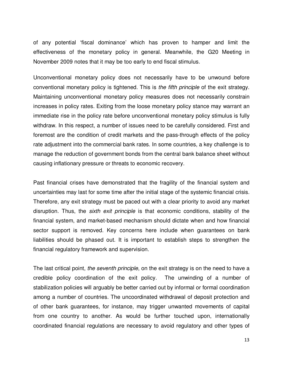of any potential 'fiscal dominance' which has proven to hamper and limit the effectiveness of the monetary policy in general. Meanwhile, the G20 Meeting in November 2009 notes that it may be too early to end fiscal stimulus.

Unconventional monetary policy does not necessarily have to be unwound before conventional monetary policy is tightened. This is *the fifth principle* of the exit strategy. Maintaining unconventional monetary policy measures does not necessarily constrain increases in policy rates. Exiting from the loose monetary policy stance may warrant an immediate rise in the policy rate before unconventional monetary policy stimulus is fully withdraw. In this respect, a number of issues need to be carefully considered. First and foremost are the condition of credit markets and the pass-through effects of the policy rate adjustment into the commercial bank rates. In some countries, a key challenge is to manage the reduction of government bonds from the central bank balance sheet without causing inflationary pressure or threats to economic recovery.

Past financial crises have demonstrated that the fragility of the financial system and uncertainties may last for some time after the initial stage of the systemic financial crisis. Therefore, any exit strategy must be paced out with a clear priority to avoid any market disruption. Thus, the *sixth exit principle* is that economic conditions, stability of the financial system, and market-based mechanism should dictate when and how financial sector support is removed. Key concerns here include when guarantees on bank liabilities should be phased out. It is important to establish steps to strengthen the financial regulatory framework and supervision.

The last critical point, *the seventh principle*, on the exit strategy is on the need to have a credible policy coordination of the exit policy. The unwinding of a number of stabilization policies will arguably be better carried out by informal or formal coordination among a number of countries. The uncoordinated withdrawal of deposit protection and of other bank guarantees, for instance, may trigger unwanted movements of capital from one country to another. As would be further touched upon, internationally coordinated financial regulations are necessary to avoid regulatory and other types of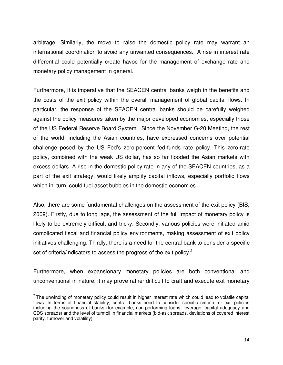arbitrage. Similarly, the move to raise the domestic policy rate may warrant an international coordination to avoid any unwanted consequences. A rise in interest rate differential could potentially create havoc for the management of exchange rate and monetary policy management in general.

Furthermore, it is imperative that the SEACEN central banks weigh in the benefits and the costs of the exit policy within the overall management of global capital flows. In particular, the response of the SEACEN central banks should be carefully weighed against the policy measures taken by the major developed economies, especially those of the US Federal Reserve Board System. Since the November G-20 Meeting, the rest of the world, including the Asian countries, have expressed concerns over potential challenge posed by the US Fed's zero-percent fed-funds rate policy. This zero-rate policy, combined with the weak US dollar, has so far flooded the Asian markets with excess dollars. A rise in the domestic policy rate in any of the SEACEN countries, as a part of the exit strategy, would likely amplify capital inflows, especially portfolio flows which in turn, could fuel asset bubbles in the domestic economies.

Also, there are some fundamental challenges on the assessment of the exit policy (BIS, 2009). Firstly, due to long lags, the assessment of the full impact of monetary policy is likely to be extremely difficult and tricky. Secondly, various policies were initiated amid complicated fiscal and financial policy environments, making assessment of exit policy initiatives challenging. Thirdly, there is a need for the central bank to consider a specific set of criteria/indicators to assess the progress of the exit policy.<sup>2</sup>

Furthermore, when expansionary monetary policies are both conventional and unconventional in nature, it may prove rather difficult to craft and execute exit monetary

<sup>&</sup>lt;sup>2</sup> The unwinding of monetary policy could result in higher interest rate which could lead to volatile capital flows. In terms of financial stability, central banks need to consider specific criteria for exit policies including the soundness of banks (for example, non-performing loans, leverage, capital adequacy and CDS spreads) and the level of turmoil in financial markets (bid-ask spreads, deviations of covered interest parity, turnover and volatility).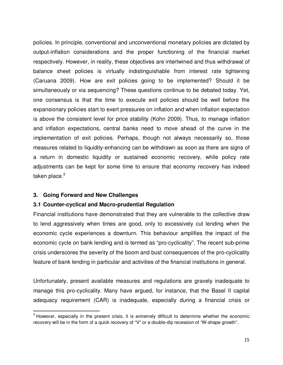policies. In principle, conventional and unconventional monetary policies are dictated by output-inflation considerations and the proper functioning of the financial market respectively. However, in reality, these objectives are intertwined and thus withdrawal of balance sheet policies is virtually indistinguishable from interest rate tightening (Caruana 2009). How are exit policies going to be implemented? Should it be simultaneously or via sequencing? These questions continue to be debated today. Yet, one consensus is that the time to execute exit policies should be well before the expansionary policies start to exert pressures on inflation and when inflation expectation is above the consistent level for price stability (Kohn 2009). Thus, to manage inflation and inflation expectations, central banks need to move ahead of the curve in the implementation of exit policies. Perhaps, though not always necessarily so, those measures related to liquidity-enhancing can be withdrawn as soon as there are signs of a return in domestic liquidity or sustained economic recovery, while policy rate adjustments can be kept for some time to ensure that economy recovery has indeed taken place. $3$ 

## **3. Going Forward and New Challenges**

 $\overline{a}$ 

## **3.1 Counter-cyclical and Macro-prudential Regulation**

Financial institutions have demonstrated that they are vulnerable to the collective draw to lend aggressively when times are good, only to excessively cut lending when the economic cycle experiences a downturn. This behaviour amplifies the impact of the economic cycle on bank lending and is termed as "pro-cyclicality". The recent sub-prime crisis underscores the severity of the boom and bust consequences of the pro-cyclicality feature of bank lending in particular and activities of the financial institutions in general.

Unfortunately, present available measures and regulations are gravely inadequate to manage this pro-cyclicality. Many have argued, for instance, that the Basel II capital adequacy requirement (CAR) is inadequate, especially during a financial crisis or

<sup>&</sup>lt;sup>3</sup> However, especially in the present crisis, it is extremely difficult to determine whether the economic recovery will be in the form of a quick recovery of "V" or a double-dip recession of "W-shape growth".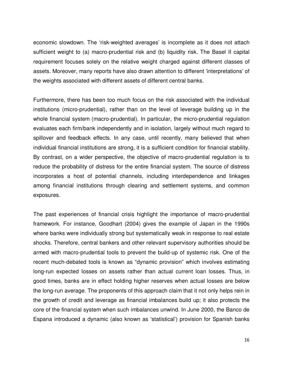economic slowdown. The 'risk-weighted averages' is incomplete as it does not attach sufficient weight to (a) macro-prudential risk and (b) liquidity risk. The Basel II capital requirement focuses solely on the relative weight charged against different classes of assets. Moreover, many reports have also drawn attention to different 'interpretations' of the weights associated with different assets of different central banks.

Furthermore, there has been too much focus on the risk associated with the individual institutions (micro-prudential), rather than on the level of leverage building up in the whole financial system (macro-prudential). In particular, the micro-prudential regulation evaluates each firm/bank independently and in isolation, largely without much regard to spillover and feedback effects. In any case, until recently, many believed that when individual financial institutions are strong, it is a sufficient condition for financial stability. By contrast, on a wider perspective, the objective of macro-prudential regulation is to reduce the probability of distress for the entire financial system. The source of distress incorporates a host of potential channels, including interdependence and linkages among financial institutions through clearing and settlement systems, and common exposures.

The past experiences of financial crisis highlight the importance of macro-prudential framework. For instance, Goodhart (2004) gives the example of Japan in the 1990s where banks were individually strong but systematically weak in response to real estate shocks. Therefore, central bankers and other relevant supervisory authorities should be armed with macro-prudential tools to prevent the build-up of systemic risk. One of the recent much-debated tools is known as "dynamic provision" which involves estimating long-run expected losses on assets rather than actual current loan losses. Thus, in good times, banks are in effect holding higher reserves when actual losses are below the long-run average. The proponents of this approach claim that it not only helps rein in the growth of credit and leverage as financial imbalances build up; it also protects the core of the financial system when such imbalances unwind. In June 2000, the Banco de Espana introduced a dynamic (also known as 'statistical') provision for Spanish banks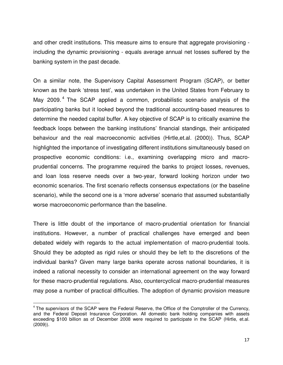and other credit institutions. This measure aims to ensure that aggregate provisioning including the dynamic provisioning - equals average annual net losses suffered by the banking system in the past decade.

On a similar note, the Supervisory Capital Assessment Program (SCAP), or better known as the bank 'stress test', was undertaken in the United States from February to May 2009.<sup>4</sup> The SCAP applied a common, probabilistic scenario analysis of the participating banks but it looked beyond the traditional accounting-based measures to determine the needed capital buffer. A key objective of SCAP is to critically examine the feedback loops between the banking institutions' financial standings, their anticipated behaviour and the real macroeconomic activities (Hirtle,et.al. (2000)). Thus, SCAP highlighted the importance of investigating different institutions simultaneously based on prospective economic conditions: i.e., examining overlapping micro and macroprudential concerns. The programme required the banks to project losses, revenues, and loan loss reserve needs over a two-year, forward looking horizon under two economic scenarios. The first scenario reflects consensus expectations (or the baseline scenario), while the second one is a 'more adverse' scenario that assumed substantially worse macroeconomic performance than the baseline.

There is little doubt of the importance of macro-prudential orientation for financial institutions. However, a number of practical challenges have emerged and been debated widely with regards to the actual implementation of macro-prudential tools. Should they be adopted as rigid rules or should they be left to the discretions of the individual banks? Given many large banks operate across national boundaries, it is indeed a rational necessity to consider an international agreement on the way forward for these macro-prudential regulations. Also, countercyclical macro-prudential measures may pose a number of practical difficulties. The adoption of dynamic provision measure

<sup>&</sup>lt;sup>4</sup> The supervisors of the SCAP were the Federal Reserve, the Office of the Comptroller of the Currency, and the Federal Deposit Insurance Corporation. All domestic bank holding companies with assets exceeding \$100 billion as of December 2008 were required to participate in the SCAP (Hirtle, et.al. (2009)).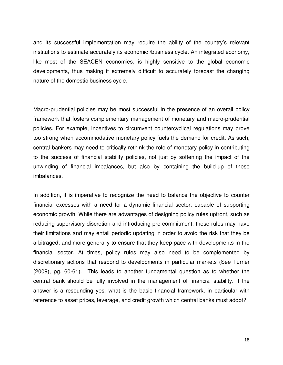and its successful implementation may require the ability of the country's relevant institutions to estimate accurately its economic /business cycle. An integrated economy, like most of the SEACEN economies, is highly sensitive to the global economic developments, thus making it extremely difficult to accurately forecast the changing nature of the domestic business cycle.

.

Macro-prudential policies may be most successful in the presence of an overall policy framework that fosters complementary management of monetary and macro-prudential policies. For example, incentives to circumvent countercyclical regulations may prove too strong when accommodative monetary policy fuels the demand for credit. As such, central bankers may need to critically rethink the role of monetary policy in contributing to the success of financial stability policies, not just by softening the impact of the unwinding of financial imbalances, but also by containing the build-up of these imbalances.

In addition, it is imperative to recognize the need to balance the objective to counter financial excesses with a need for a dynamic financial sector, capable of supporting economic growth. While there are advantages of designing policy rules upfront, such as reducing supervisory discretion and introducing pre-commitment, these rules may have their limitations and may entail periodic updating in order to avoid the risk that they be arbitraged; and more generally to ensure that they keep pace with developments in the financial sector. At times, policy rules may also need to be complemented by discretionary actions that respond to developments in particular markets (See Turner (2009), pg. 60-61). This leads to another fundamental question as to whether the central bank should be fully involved in the management of financial stability. If the answer is a resounding yes, what is the basic financial framework, in particular with reference to asset prices, leverage, and credit growth which central banks must adopt?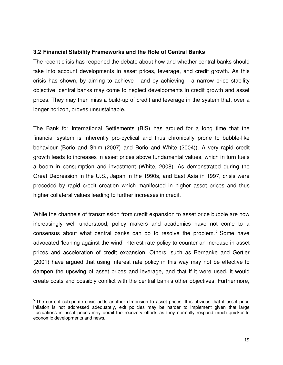## **3.2 Financial Stability Frameworks and the Role of Central Banks**

The recent crisis has reopened the debate about how and whether central banks should take into account developments in asset prices, leverage, and credit growth. As this crisis has shown, by aiming to achieve - and by achieving - a narrow price stability objective, central banks may come to neglect developments in credit growth and asset prices. They may then miss a build-up of credit and leverage in the system that, over a longer horizon, proves unsustainable.

The Bank for International Settlements (BIS) has argued for a long time that the financial system is inherently pro-cyclical and thus chronically prone to bubble-like behaviour (Borio and Shim (2007) and Borio and White (2004)). A very rapid credit growth leads to increases in asset prices above fundamental values, which in turn fuels a boom in consumption and investment (White, 2008). As demonstrated during the Great Depression in the U.S., Japan in the 1990s, and East Asia in 1997, crisis were preceded by rapid credit creation which manifested in higher asset prices and thus higher collateral values leading to further increases in credit.

While the channels of transmission from credit expansion to asset price bubble are now increasingly well understood, policy makers and academics have not come to a consensus about what central banks can do to resolve the problem.<sup>5</sup> Some have advocated 'leaning against the wind' interest rate policy to counter an increase in asset prices and acceleration of credit expansion. Others, such as Bernanke and Gertler (2001) have argued that using interest rate policy in this way may not be effective to dampen the upswing of asset prices and leverage, and that if it were used, it would create costs and possibly conflict with the central bank's other objectives. Furthermore,

<sup>&</sup>lt;sup>5</sup> The current cub-prime crisis adds another dimension to asset prices. It is obvious that if asset price inflation is not addressed adequately, exit policies may be harder to implement given that large fluctuations in asset prices may derail the recovery efforts as they normally respond much quicker to economic developments and news.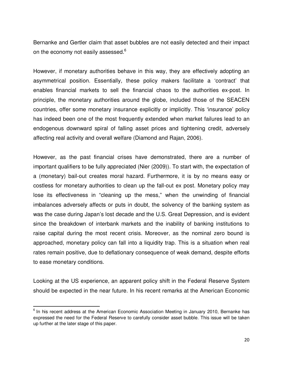Bernanke and Gertler claim that asset bubbles are not easily detected and their impact on the economy not easily assessed.<sup>6</sup>

However, if monetary authorities behave in this way, they are effectively adopting an asymmetrical position. Essentially, these policy makers facilitate a 'contract' that enables financial markets to sell the financial chaos to the authorities ex-post. In principle, the monetary authorities around the globe, included those of the SEACEN countries, offer some monetary insurance explicitly or implicitly. This 'insurance' policy has indeed been one of the most frequently extended when market failures lead to an endogenous downward spiral of falling asset prices and tightening credit, adversely affecting real activity and overall welfare (Diamond and Rajan, 2006).

However, as the past financial crises have demonstrated, there are a number of important qualifiers to be fully appreciated (Nier (2009)). To start with, the expectation of a (monetary) bail-out creates moral hazard. Furthermore, it is by no means easy or costless for monetary authorities to clean up the fall-out ex post. Monetary policy may lose its effectiveness in "cleaning up the mess," when the unwinding of financial imbalances adversely affects or puts in doubt, the solvency of the banking system as was the case during Japan's lost decade and the U.S. Great Depression, and is evident since the breakdown of interbank markets and the inability of banking institutions to raise capital during the most recent crisis. Moreover, as the nominal zero bound is approached, monetary policy can fall into a liquidity trap. This is a situation when real rates remain positive, due to deflationary consequence of weak demand, despite efforts to ease monetary conditions.

Looking at the US experience, an apparent policy shift in the Federal Reserve System should be expected in the near future. In his recent remarks at the American Economic

<sup>&</sup>lt;sup>6</sup> In his recent address at the American Economic Association Meeting in January 2010, Bernanke has expressed the need for the Federal Reserve to carefully consider asset bubble. This issue will be taken up further at the later stage of this paper.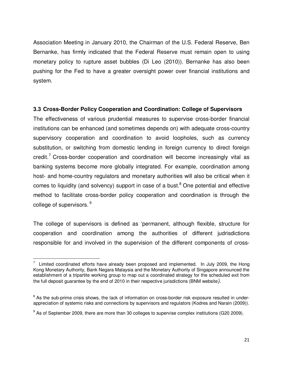Association Meeting in January 2010, the Chairman of the U.S. Federal Reserve, Ben Bernanke, has firmly indicated that the Federal Reserve must remain open to using monetary policy to rupture asset bubbles (Di Leo (2010)). Bernanke has also been pushing for the Fed to have a greater oversight power over financial institutions and system.

## **3.3 Cross-Border Policy Cooperation and Coordination: College of Supervisors**

The effectiveness of various prudential measures to supervise cross-border financial institutions can be enhanced (and sometimes depends on) with adequate cross-country supervisory cooperation and coordination to avoid loopholes, such as currency substitution, or switching from domestic lending in foreign currency to direct foreign credit.<sup>7</sup> Cross-border cooperation and coordination will become increasingly vital as banking systems become more globally integrated. For example, coordination among host- and home-country regulators and monetary authorities will also be critical when it comes to liquidity (and solvency) support in case of a bust.<sup>8</sup> One potential and effective method to facilitate cross-border policy cooperation and coordination is through the college of supervisors. <sup>9</sup>

The college of supervisors is defined as 'permanent, although flexible, structure for cooperation and coordination among the authorities of different judrisdictions responsible for and involved in the supervision of the different components of cross-

<sup>&</sup>lt;sup>7</sup> Limited coordinated efforts have already been proposed and implemented. In July 2009, the Hong Kong Monetary Authority, Bank Negara Malaysia and the Monetary Authority of Singapore announced the establishment of a tripartite working group to map out a coordinated strategy for the scheduled exit from the full deposit guarantee by the end of 2010 in their respective jurisdictions (BNM website*).* 

<sup>&</sup>lt;sup>8</sup> As the sub-prime crisis shows, the lack of information on cross-border risk exposure resulted in underappreciation of systemic risks and connections by supervisors and regulators (Kodres and Narain (2009)).

 $9$  As of September 2009, there are more than 30 colleges to supervise complex institutions (G20 2009).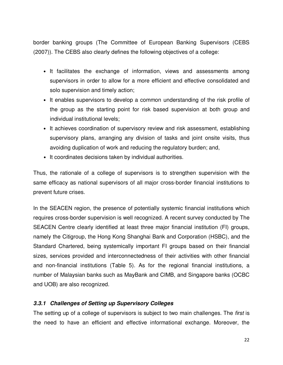border banking groups (The Committee of European Banking Supervisors (CEBS (2007)). The CEBS also clearly defines the following objectives of a college:

- It facilitates the exchange of information, views and assessments among supervisors in order to allow for a more efficient and effective consolidated and solo supervision and timely action;
- It enables supervisors to develop a common understanding of the risk profile of the group as the starting point for risk based supervision at both group and individual institutional levels;
- It achieves coordination of supervisory review and risk assessment, establishing supervisory plans, arranging any division of tasks and joint onsite visits, thus avoiding duplication of work and reducing the regulatory burden; and,
- It coordinates decisions taken by individual authorities.

Thus, the rationale of a college of supervisors is to strengthen supervision with the same efficacy as national supervisors of all major cross-border financial institutions to prevent future crises.

In the SEACEN region, the presence of potentially systemic financial institutions which requires cross-border supervision is well recognized. A recent survey conducted by The SEACEN Centre clearly identified at least three major financial institution (FI) groups, namely the Citigroup, the Hong Kong Shanghai Bank and Corporation (HSBC), and the Standard Chartered, being systemically important FI groups based on their financial sizes, services provided and interconnectedness of their activities with other financial and non-financial institutions (Table 5). As for the regional financial institutions, a number of Malaysian banks such as MayBank and CIMB, and Singapore banks (OCBC and UOB) are also recognized.

# **3.3.1 Challenges of Setting up Supervisory Colleges**

The setting up of a college of supervisors is subject to two main challenges. The *first* is the need to have an efficient and effective informational exchange. Moreover, the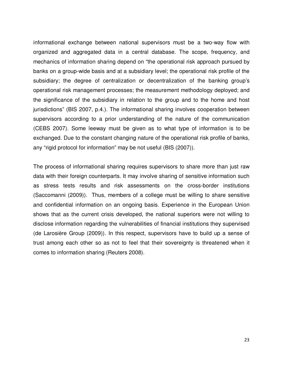informational exchange between national supervisors must be a two-way flow with organized and aggregated data in a central database. The scope, frequency, and mechanics of information sharing depend on "the operational risk approach pursued by banks on a group-wide basis and at a subsidiary level; the operational risk profile of the subsidiary; the degree of centralization or decentralization of the banking group's operational risk management processes; the measurement methodology deployed; and the significance of the subsidiary in relation to the group and to the home and host jurisdictions" (BIS 2007, p.4.). The informational sharing involves cooperation between supervisors according to a prior understanding of the nature of the communication (CEBS 2007). Some leeway must be given as to what type of information is to be exchanged. Due to the constant changing nature of the operational risk profile of banks, any "rigid protocol for information" may be not useful (BIS (2007)).

The process of informational sharing requires supervisors to share more than just raw data with their foreign counterparts. It may involve sharing of sensitive information such as stress tests results and risk assessments on the cross-border institutions (Saccomanni (2009)). Thus, members of a college must be willing to share sensitive and confidential information on an ongoing basis. Experience in the European Union shows that as the current crisis developed, the national superiors were not willing to disclose information regarding the vulnerabilities of financial institutions they supervised (de Larosière Group (2009)). In this respect, supervisors have to build up a sense of trust among each other so as not to feel that their sovereignty is threatened when it comes to information sharing (Reuters 2008).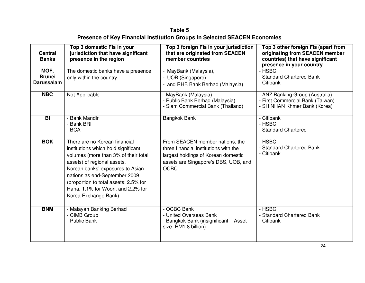# **Table 5 Presence of Key Financial Institution Groups in Selected SEACEN Economies**

| <b>Central</b><br><b>Banks</b>             | Top 3 domestic Fls in your<br>jurisdiction that have significant<br>presence in the region                                                                                                                                                                                                                              | Top 3 foreign Fls in your jurisdiction<br>that are originated from SEACEN<br>member countries                                                                          | Top 3 other foreign Fls (apart from<br>originating from SEACEN member<br>countries) that have significant<br>presence in your country |
|--------------------------------------------|-------------------------------------------------------------------------------------------------------------------------------------------------------------------------------------------------------------------------------------------------------------------------------------------------------------------------|------------------------------------------------------------------------------------------------------------------------------------------------------------------------|---------------------------------------------------------------------------------------------------------------------------------------|
| MOF,<br><b>Brunei</b><br><b>Darussalam</b> | The domestic banks have a presence<br>only within the country.                                                                                                                                                                                                                                                          | - MayBank (Malaysia),<br>- UOB (Singapore)<br>- and RHB Bank Berhad (Malaysia)                                                                                         | - HSBC<br>- Standard Chartered Bank<br>- Citibank                                                                                     |
| <b>NBC</b>                                 | Not Applicable                                                                                                                                                                                                                                                                                                          | - MayBank (Malaysia)<br>- Public Bank Berhad (Malaysia)<br>- Siam Commercial Bank (Thailand)                                                                           | - ANZ Banking Group (Australia)<br>- First Commercial Bank (Taiwan)<br>- SHINHAN Khmer Bank (Korea)                                   |
| BI                                         | - Bank Mandiri<br>- Bank BRI<br>- BCA                                                                                                                                                                                                                                                                                   | <b>Bangkok Bank</b>                                                                                                                                                    | - Citibank<br>- HSBC<br>- Standard Chartered                                                                                          |
| <b>BOK</b>                                 | There are no Korean financial<br>institutions which hold significant<br>volumes (more than 3% of their total<br>assets) of regional assets.<br>Korean banks' exposures to Asian<br>nations as end-September 2009<br>(proportion to total assets: 2.5% for<br>Hana, 1.1% for Woori, and 2.2% for<br>Korea Exchange Bank) | From SEACEN member nations, the<br>three financial institutions with the<br>largest holdings of Korean domestic<br>assets are Singapore's DBS, UOB, and<br><b>OCBC</b> | - HSBC<br>- Standard Chartered Bank<br>- Citibank                                                                                     |
| <b>BNM</b>                                 | - Malayan Banking Berhad<br>- CIMB Group<br>- Public Bank                                                                                                                                                                                                                                                               | - OCBC Bank<br>- United Overseas Bank<br>- Bangkok Bank (insignificant - Asset<br>size: RM1.8 billion)                                                                 | - HSBC<br>- Standard Chartered Bank<br>- Citibank                                                                                     |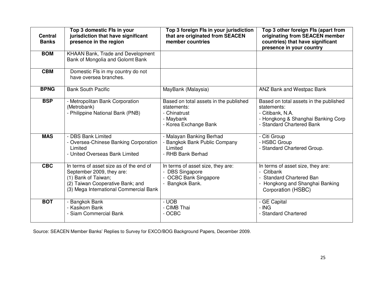| <b>Central</b><br><b>Banks</b> | Top 3 domestic Fls in your<br>jurisdiction that have significant<br>presence in the region                                                                                | Top 3 foreign Fls in your jurisdiction<br>that are originated from SEACEN<br>member countries               | Top 3 other foreign Fls (apart from<br>originating from SEACEN member<br>countries) that have significant<br>presence in your country        |
|--------------------------------|---------------------------------------------------------------------------------------------------------------------------------------------------------------------------|-------------------------------------------------------------------------------------------------------------|----------------------------------------------------------------------------------------------------------------------------------------------|
| <b>BOM</b>                     | KHAAN Bank, Trade and Development<br>Bank of Mongolia and Golomt Bank                                                                                                     |                                                                                                             |                                                                                                                                              |
| <b>CBM</b>                     | Domestic FIs in my country do not<br>have oversea branches.                                                                                                               |                                                                                                             |                                                                                                                                              |
| <b>BPNG</b>                    | <b>Bank South Pacific</b>                                                                                                                                                 | MayBank (Malaysia)                                                                                          | <b>ANZ Bank and Westpac Bank</b>                                                                                                             |
| <b>BSP</b>                     | - Metropolitan Bank Corporation<br>(Metrobank)<br>- Philippine National Bank (PNB)                                                                                        | Based on total assets in the published<br>statements:<br>- Chinatrust<br>- Maybank<br>- Korea Exchange Bank | Based on total assets in the published<br>statements:<br>- Citibank, N.A.<br>- Hongkong & Shanghai Banking Corp<br>- Standard Chartered Bank |
| <b>MAS</b>                     | <b>DBS Bank Limited</b><br>- Oversea-Chinese Banking Corporation<br>Limited<br>- United Overseas Bank Limited                                                             | - Malayan Banking Berhad<br>Bangkok Bank Public Company<br>Limited<br>- RHB Bank Berhad                     | - Citi Group<br>- HSBC Group<br>- Standard Chartered Group.                                                                                  |
| <b>CBC</b>                     | In terms of asset size as of the end of<br>September 2009, they are:<br>(1) Bank of Taiwan;<br>(2) Taiwan Cooperative Bank; and<br>(3) Mega International Commercial Bank | In terms of asset size, they are:<br>- DBS Singapore<br>- OCBC Bank Singapore<br>- Bangkok Bank.            | In terms of asset size, they are:<br>- Citibank<br><b>Standard Chartered Ban</b><br>- Hongkong and Shanghai Banking<br>Corporation (HSBC)    |
| <b>BOT</b>                     | <b>Bangkok Bank</b><br>- Kasikorn Bank<br>- Siam Commercial Bank                                                                                                          | $-$ UOB<br>- CIMB Thai<br>- OCBC                                                                            | - GE Capital<br>$-$ ING<br>- Standard Chartered                                                                                              |

Source: SEACEN Member Banks' Replies to Survey for EXCO/BOG Background Papers, December 2009.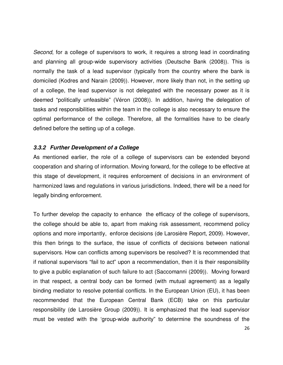*Second*, for a college of supervisors to work, it requires a strong lead in coordinating and planning all group-wide supervisory activities (Deutsche Bank (2008)). This is normally the task of a lead supervisor (typically from the country where the bank is domiciled (Kodres and Narain (2009)). However, more likely than not, in the setting up of a college, the lead supervisor is not delegated with the necessary power as it is deemed "politically unfeasible" (Véron (2008)). In addition, having the delegation of tasks and responsibilities within the team in the college is also necessary to ensure the optimal performance of the college. Therefore, all the formalities have to be clearly defined before the setting up of a college.

## **3.3.2 Further Development of a College**

As mentioned earlier, the role of a college of supervisors can be extended beyond cooperation and sharing of information. Moving forward, for the college to be effective at this stage of development, it requires enforcement of decisions in an environment of harmonized laws and regulations in various jurisdictions. Indeed, there will be a need for legally binding enforcement.

To further develop the capacity to enhance the efficacy of the college of supervisors, the college should be able to, apart from making risk assessment, recommend policy options and more importantly, enforce decisions (de Larosière Report, 2009). However, this then brings to the surface, the issue of conflicts of decisions between national supervisors. How can conflicts among supervisors be resolved? It is recommended that if national supervisors "fail to act" upon a recommendation, then it is their responsibility to give a public explanation of such failure to act (Saccomanni (2009)). Moving forward in that respect, a central body can be formed (with mutual agreement) as a legally binding mediator to resolve potential conflicts. In the European Union (EU), it has been recommended that the European Central Bank (ECB) take on this particular responsibility (de Larosière Group (2009)). It is emphasized that the lead supervisor must be vested with the 'group-wide authority" to determine the soundness of the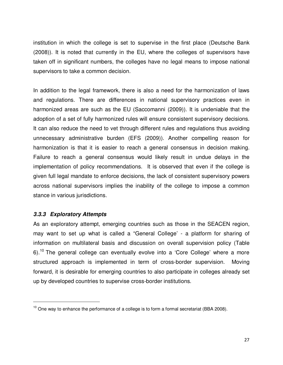institution in which the college is set to supervise in the first place (Deutsche Bank (2008)). It is noted that currently in the EU, where the colleges of supervisors have taken off in significant numbers, the colleges have no legal means to impose national supervisors to take a common decision.

In addition to the legal framework, there is also a need for the harmonization of laws and regulations. There are differences in national supervisory practices even in harmonized areas are such as the EU (Saccomanni (2009)). It is undeniable that the adoption of a set of fully harmonized rules will ensure consistent supervisory decisions. It can also reduce the need to vet through different rules and regulations thus avoiding unnecessary administrative burden (EFS (2009)). Another compelling reason for harmonization is that it is easier to reach a general consensus in decision making. Failure to reach a general consensus would likely result in undue delays in the implementation of policy recommendations. It is observed that even if the college is given full legal mandate to enforce decisions, the lack of consistent supervisory powers across national supervisors implies the inability of the college to impose a common stance in various jurisdictions.

# **3.3.3 Exploratory Attempts**

 $\overline{a}$ 

As an exploratory attempt, emerging countries such as those in the SEACEN region, may want to set up what is called a "General College' - a platform for sharing of information on multilateral basis and discussion on overall supervision policy (Table  $6)$ .<sup>10</sup> The general college can eventually evolve into a 'Core College' where a more structured approach is implemented in term of cross-border supervision. Moving forward, it is desirable for emerging countries to also participate in colleges already set up by developed countries to supervise cross-border institutions.

 $10$  One way to enhance the performance of a college is to form a formal secretariat (BBA 2008).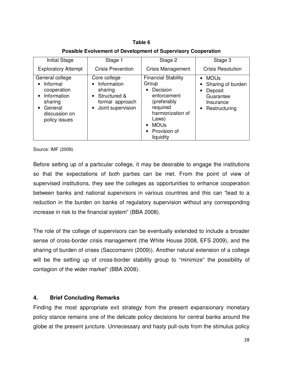# **Table 6 Possible Evolvement of Development of Supervisory Cooperation**

| <b>Initial Stage</b>                                                                                              | Stage 1                                                                                                          | Stage 2                                                                                                                                                                      | Stage 3                                                                                |
|-------------------------------------------------------------------------------------------------------------------|------------------------------------------------------------------------------------------------------------------|------------------------------------------------------------------------------------------------------------------------------------------------------------------------------|----------------------------------------------------------------------------------------|
| <b>Exploratory Attempt</b>                                                                                        | <b>Crisis Prevention</b>                                                                                         | <b>Crisis Management</b>                                                                                                                                                     | <b>Crisis Resolution</b>                                                               |
| General college<br>Informal<br>cooperation<br>Information<br>sharing<br>General<br>discussion on<br>policy issues | Core college<br>Information<br>sharing<br>Structured &<br>$\bullet$<br>formal approach<br>Joint supervision<br>٠ | <b>Financial Stability</b><br>Group<br>Decision<br>$\bullet$<br>enforcement<br>(preferably<br>required<br>harmonization of<br>Laws)<br>• MOUs<br>• Provision of<br>liquidity | <b>MOUs</b><br>Sharing of burden<br>Deposit<br>Guarantee<br>Insurance<br>Restructuring |

Source: IMF (2009).

Before setting up of a particular college, it may be desirable to engage the institutions so that the expectations of both parties can be met. From the point of view of supervised institutions, they see the colleges as opportunities to enhance cooperation between banks and national supervisors in various countries and this can "lead to a reduction in the burden on banks of regulatory supervision without any corresponding increase in risk to the financial system" (BBA 2008).

The role of the college of supervisors can be eventually extended to include a broader sense of cross-border crisis management (the White House 2008, EFS 2009), and the sharing of burden of crises (Saccomanni (2009)). Another natural extension of a college will be the setting up of cross-border stability group to "minimize" the possibility of contagion of the wider market" (BBA 2008).

# **4. Brief Concluding Remarks**

Finding the most appropriate exit strategy from the present expansionary monetary policy stance remains one of the delicate policy decisions for central banks around the globe at the present juncture. Unnecessary and hasty pull-outs from the stimulus policy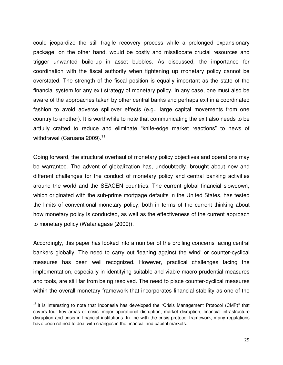could jeopardize the still fragile recovery process while a prolonged expansionary package, on the other hand, would be costly and misallocate crucial resources and trigger unwanted build-up in asset bubbles. As discussed, the importance for coordination with the fiscal authority when tightening up monetary policy cannot be overstated. The strength of the fiscal position is equally important as the state of the financial system for any exit strategy of monetary policy. In any case, one must also be aware of the approaches taken by other central banks and perhaps exit in a coordinated fashion to avoid adverse spillover effects (e.g., large capital movements from one country to another). It is worthwhile to note that communicating the exit also needs to be artfully crafted to reduce and eliminate "knife-edge market reactions" to news of withdrawal (Caruana 2009). $^{11}$ 

Going forward, the structural overhaul of monetary policy objectives and operations may be warranted. The advent of globalization has, undoubtedly, brought about new and different challenges for the conduct of monetary policy and central banking activities around the world and the SEACEN countries. The current global financial slowdown, which originated with the sub-prime mortgage defaults in the United States, has tested the limits of conventional monetary policy, both in terms of the current thinking about how monetary policy is conducted, as well as the effectiveness of the current approach to monetary policy (Watanagase (2009)).

Accordingly, this paper has looked into a number of the broiling concerns facing central bankers globally. The need to carry out 'leaning against the wind' or counter-cyclical measures has been well recognized. However, practical challenges facing the implementation, especially in identifying suitable and viable macro-prudential measures and tools, are still far from being resolved. The need to place counter-cyclical measures within the overall monetary framework that incorporates financial stability as one of the

l,

 $11$  It is interesting to note that Indonesia has developed the "Crisis Management Protocol (CMP)" that covers four key areas of crisis: major operational disruption, market disruption, financial infrastructure disruption and crisis in financial institutions. In line with the crisis protocol framework, many regulations have been refined to deal with changes in the financial and capital markets.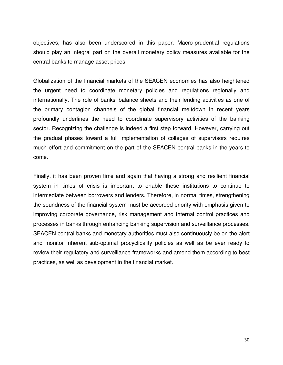objectives, has also been underscored in this paper. Macro-prudential regulations should play an integral part on the overall monetary policy measures available for the central banks to manage asset prices.

Globalization of the financial markets of the SEACEN economies has also heightened the urgent need to coordinate monetary policies and regulations regionally and internationally. The role of banks' balance sheets and their lending activities as one of the primary contagion channels of the global financial meltdown in recent years profoundly underlines the need to coordinate supervisory activities of the banking sector. Recognizing the challenge is indeed a first step forward. However, carrying out the gradual phases toward a full implementation of colleges of supervisors requires much effort and commitment on the part of the SEACEN central banks in the years to come.

Finally, it has been proven time and again that having a strong and resilient financial system in times of crisis is important to enable these institutions to continue to intermediate between borrowers and lenders. Therefore, in normal times, strengthening the soundness of the financial system must be accorded priority with emphasis given to improving corporate governance, risk management and internal control practices and processes in banks through enhancing banking supervision and surveillance processes. SEACEN central banks and monetary authorities must also continuously be on the alert and monitor inherent sub-optimal procyclicality policies as well as be ever ready to review their regulatory and surveillance frameworks and amend them according to best practices, as well as development in the financial market.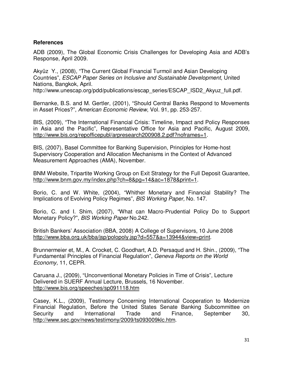## **References**

ADB (2009), The Global Economic Crisis Challenges for Developing Asia and ADB's Response, April 2009.

Akyüz Y., (2008), "The Current Global Financial Turmoil and Asian Developing Countries", *ESCAP Paper Series on Inclusive and Sustainable Development*, United Nations, Bangkok, April.

http://www.unescap.org/pdd/publications/escap\_series/ESCAP\_ISD2\_Akyuz\_full.pdf.

Bernanke, B.S. and M. Gertler, (2001), "Should Central Banks Respond to Movements in Asset Prices?", *American Economic Review*, Vol. 91, pp. 253-257.

BIS, (2009), "The International Financial Crisis: Timeline, Impact and Policy Responses in Asia and the Pacific", Representative Office for Asia and Pacific, August 2009, http://www.bis.org/repofficepubl/arpresearch200908.2.pdf?noframes=1.

BIS, (2007), Basel Committee for Banking Supervision, Principles for Home-host Supervisory Cooperation and Allocation Mechanisms in the Context of Advanced Measurement Approaches (AMA), November.

BNM Website, Tripartite Working Group on Exit Strategy for the Full Deposit Guarantee, http://www.bnm.gov.my/index.php?ch=8&pg=14&ac=1878&print=1.

Borio, C. and W. White, (2004), "Whither Monetary and Financial Stability? The Implications of Evolving Policy Regimes", *BIS Working Paper,* No. 147.

Borio, C. and I. Shim, (2007), "What can Macro-Prudential Policy Do to Support Monetary Policy?", *BIS Working Paper* No.242.

British Bankers' Association (BBA, 2008) A College of Supervisors, 10 June 2008 http://www.bba.org.uk/bba/jsp/polopoly.jsp?d=557&a=13944&view=print.

Brunnermeier et, M., A. Crocket, C. Goodhart, A.D. Persaqud and H. Shin., (2009), "The Fundamental Principles of Financial Regulation", *Geneva Reports on the World Economy,* 11, CEPR.

Caruana J., (2009), "Unconventional Monetary Policies in Time of Crisis", Lecture Delivered in SUERF Annual Lecture, Brussels, 16 November. http://www.bis.org/speeches/sp091118.htm

Casey, K.L., (2009), Testimony Concerning International Cooperation to Modernize Financial Regulation, Before the United States Senate Banking Subcommittee on Security and International Trade and Finance, September 30, http://www.sec.gov/news/testimony/2009/ts093009klc.htm.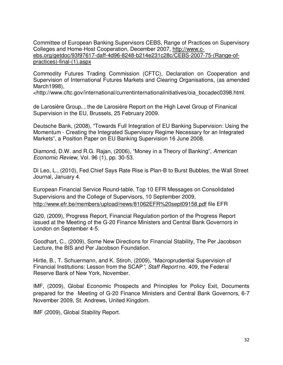Committee of European Banking Supervisors CEBS, Range of Practices on Supervisory Colleges and Home-Host Cooperation, December 2007, http://www.cebs.org/getdoc/93f97617-daff-4d96-8248-b214e231c28c/CEBS-2007-75-(Range-ofpractices)-final-(1).aspx

Commodity Futures Trading Commission (CFTC), Declaration on Cooperation and Supervision of International Futures Markets and Clearing Organisations, (as amended March1998),

<http://www.cftc.gov/international/currentinternationalinitiatives/oia\_bocadec0398.html.

de Larosière Group, , the de Larosière Report on the High Level Group of Finanical Supervision in the EU, Brussels, 25 February 2009.

Deutsche Bank, (2008), "Towards Full Integration of EU Banking Supervision: Using the Momentum - Creating the Integrated Supervisory Regime Necessary for an Integrated Markets", a Position Paper on EU Banking Supervision 16 June 2008.

Diamond, D.W. and R.G. Rajan, (2006), "Money in a Theory of Banking", *American Economic Review*, Vol. 96 (1), pp. 30-53.

Di Leo, L., (2010), Fed Chief Says Rate Rise is Plan-B to Burst Bubbles, the Wall Street Journal, January 4.

European Financial Service Round-table, Top 10 EFR Messages on Consolidated Supervisions and the College of Supervisors, 10 September 2009, http://www.efr.be/members/upload/news/81062EFR%20sept09158.pdf file EFR

G20, (2009), Progress Report, Financial Regulation portion of the Progress Report issued at the Meeting of the G-20 Finance Ministers and Central Bank Governors in London on September 4-5.

Goodhart, C., (2009), Some New Directions for Financial Stability, The Per Jacobson Lecture, the BIS and Per Jacobson Foundation.

Hirtle, B., T. Schuermann, and K. Stiroh, (2009), "Macroprudential Supervision of Financial Institutions: Lesson from the SCAP*", Staff Report* no. 409, the Federal Reserve Bank of New York, November.

IMF, (2009), Global Economic Prospects and Principles for Policy Exit, Documents prepared for the Meeting of G-20 Finance Ministers and Central Bank Governors, 6-7 November 2009, St. Andrews, United Kingdom.

IMF (2009), Global Stability Report.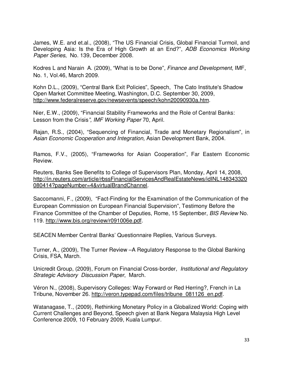James, W.E. and et.al., (2008), "The US Financial Crisis, Global Financial Turmoil, and Developing Asia: Is the Era of High Growth at an End?", *ADB Economics Working Paper Series*, No. 139, December 2008.

Kodres L and Narain A. (2009), "What is to be Done", *Finance and Development*, IMF, No. 1, Vol.46, March 2009.

Kohn D.L., (2009), "Central Bank Exit Policies", Speech, The Cato Institute's Shadow Open Market Committee Meeting, Washington, D.C. September 30, 2009, http://www.federalreserve.gov/newsevents/speech/kohn20090930a.htm.

Nier, E.W., (2009), "Financial Stability Frameworks and the Role of Central Banks: Lesson from the Crisis*", IMF Working Paper* 70, April.

Rajan, R.S., (2004), "Sequencing of Financial, Trade and Monetary Regionalism", in *Asian Economic Cooperation and Integration,* Asian Development Bank, 2004.

Ramos, F.V., (2005), "Frameworks for Asian Cooperation", Far Eastern Economic Review.

Reuters, Banks See Benefits to College of Supervisors Plan, Monday, April 14, 2008, http://in.reuters.com/article/rbssFinancialServicesAndRealEstateNews/idINL148343320 080414?pageNumber=4&virtualBrandChannel.

Saccomanni, F., (2009), "Fact-Finding for the Examination of the Communication of the European Commission on European Financial Supervision", Testimony Before the Finance Committee of the Chamber of Deputies, Rome, 15 September, *BIS Review* No. 119. http://www.bis.org/review/r091006e.pdf.

SEACEN Member Central Banks' Questionnaire Replies, Various Surveys.

Turner, A., (2009), The Turner Review –A Regulatory Response to the Global Banking Crisis, FSA, March.

Unicredit Group, (2009), Forum on Financial Cross-border*, Institutional and Regulatory Strategic Advisory Discussion Paper*, March.

Véron N., (2008), Supervisory Colleges: Way Forward or Red Herring?, French in La Tribune, November 26. http://veron.typepad.com/files/tribune\_081126\_en.pdf.

Watanagase, T., (2009), Rethinking Monetary Policy in a Globalized World: Coping with Current Challenges and Beyond, Speech given at Bank Negara Malaysia High Level Conference 2009, 10 February 2009, Kuala Lumpur.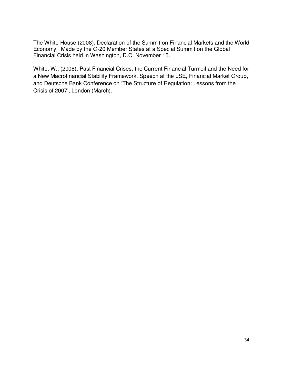The White House (2008), Declaration of the Summit on Financial Markets and the World Economy, Made by the G-20 Member States at a Special Summit on the Global Financial Crisis held in Washington, D.C. November 15.

White, W., (2008), Past Financial Crises, the Current Financial Turmoil and the Need for a New Macrofinancial Stability Framework, Speech at the LSE, Financial Market Group, and Deutsche Bank Conference on 'The Structure of Regulation: Lessons from the Crisis of 2007', London (March).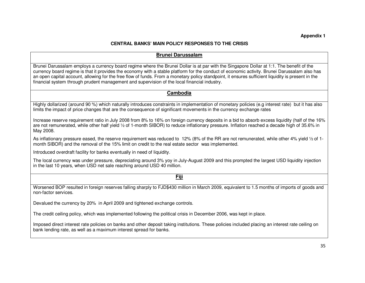#### **CENTRAL BANKS' MAIN POLICY RESPONSES TO THE CRISIS**

#### **Brunei Darussalam**

Brunei Darussalam employs a currency board regime where the Brunei Dollar is at par with the Singapore Dollar at 1:1. The benefit of the currency board regime is that it provides the economy with a stable platform for the conduct of economic activity. Brunei Darussalam also has an open capital account, allowing for the free flow of funds. From a monetary policy standpoint, it ensures sufficient liquidity is present in the financial system through prudent management and supervision of the local financial industry.

#### **Cambodia**

Highly dollarized (around 90 %) which naturally introduces constraints in implementation of monetary policies (e.g interest rate) but it has also limits the impact of price changes that are the consequence of significant movements in the currency exchange rates

Increase reserve requirement ratio in July 2008 from 8% to 16% on foreign currency deposits in a bid to absorb excess liquidity (half of the 16% are not remunerated, while other half yield 1/2 of 1-month SIBOR) to reduce inflationary pressure. Inflation reached a decade high of 35.6% in May 2008.

As inflationary pressure eased, the reserve requirement was reduced to 12% (8% of the RR are not remunerated, while other 4% yield ½ of 1 month SIBOR) and the removal of the 15% limit on credit to the real estate sector was implemented.

Introduced overdraft facility for banks eventually in need of liquidity.

The local currency was under pressure, depreciating around 3% yoy in July-August 2009 and this prompted the largest USD liquidity injection in the last 10 years, when USD net sale reaching around USD 40 million.

**Fiji**

Worsened BOP resulted in foreign reserves falling sharply to FJD\$430 million in March 2009, equivalent to 1.5 months of imports of goods and non-factor services.

Devalued the currency by 20% in April 2009 and tightened exchange controls.

The credit ceiling policy, which was implemented following the political crisis in December 2006, was kept in place.

Imposed direct interest rate policies on banks and other deposit taking institutions. These policies included placing an interest rate ceiling on bank lending rate, as well as a maximum interest spread for banks.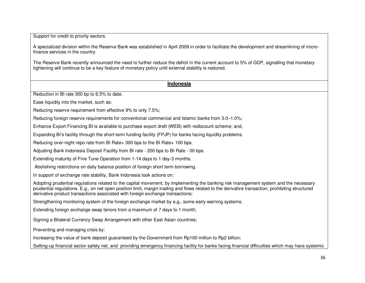Support for credit to priority sectors.

A specialized division within the Reserve Bank was established in April 2009 in order to facilitate the development and streamlining of microfinance services in the country.

The Reserve Bank recently announced the need to further reduce the deficit in the current account to 5% of GDP, signalling that monetary tightening will continue to be a key feature of monetary policy until external stability is restored.

#### **Indonesia**

Reduction in BI rate 300 bp to 6.5% to date.

Ease liquidity into the market, such as:

Reducing reserve requirement from effective 9% to only 7.5%;

Reducing foreign reserve requirements for conventional commercial and Islamic banks from 3.0–1.0%;

Enhance Export Financing BI is available to purchase export draft (WEB) with rediscount scheme; and,

Expanding BI's facility through the short-term funding facility (FPJP) for banks facing liquidity problems.

Reducing over-night repo rate from BI Rate+ 300 bps to the BI Rate+ 100 bps.

Adjusting Bank Indonesia Deposit Facility from BI rate - 200 bps to BI Rate - 00 bps.

Extending maturity of Fine Tune Operation from 1-14 days to 1 day-3 months.

Abolishing restrictions on daily balance position of foreign short term borrowing.

In support of exchange rate stability, Bank Indonesia took actions on:

Adopting prudential regulations related to the capital movement, by implementing the banking risk management system and the necessary prudential regulations. E.g., on net open position limit, margin trading and flows related to the derivative transaction, prohibiting structured derivative product transactions associated with foreign exchange transactions;

Strengthening monitoring system of the foreign exchange market by e,g., some early warning systems;

Extending foreign exchange swap tenors from a maximum of 7 days to 1 month;

Signing a Bilateral Currency Swap Arrangement with other East Asian countries;

Preventing and managing crisis by:

Increasing the value of bank deposit guaranteed by the Government from Rp100 million to Rp2 billion;

Setting-up financial sector safety net, and providing emergency financing facility for banks facing financial difficulties which may have systemic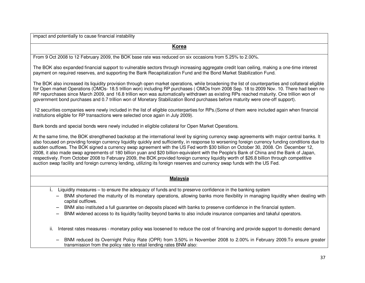impact and potentially to cause financial instability

| <b>Korea</b>                                                                                                                                                                                                                                                                                                                                                                                                                                                                                                                                                                                                                                                                                                                                                                                                                                                    |
|-----------------------------------------------------------------------------------------------------------------------------------------------------------------------------------------------------------------------------------------------------------------------------------------------------------------------------------------------------------------------------------------------------------------------------------------------------------------------------------------------------------------------------------------------------------------------------------------------------------------------------------------------------------------------------------------------------------------------------------------------------------------------------------------------------------------------------------------------------------------|
| From 9 Oct 2008 to 12 February 2009, the BOK base rate was reduced on six occasions from 5.25% to 2.00%.                                                                                                                                                                                                                                                                                                                                                                                                                                                                                                                                                                                                                                                                                                                                                        |
| The BOK also expanded financial support to vulnerable sectors through increasing aggregate credit loan ceiling, making a one-time interest<br>payment on required reserves, and supporting the Bank Recapitalization Fund and the Bond Market Stabilization Fund.                                                                                                                                                                                                                                                                                                                                                                                                                                                                                                                                                                                               |
| The BOK also increased its liquidity provision through open market operations, while broadening the list of counterparties and collateral eligible<br>for Open market Operations (OMOs- 18.5 trillion won) including RP purchases (OMOs from 2008 Sep. 18 to 2009 Nov. 10. There had been no<br>RP repurchases since March 2009, and 16.8 trillion won was automatically withdrawn as existing RPs reached maturity. One trillion won of<br>government bond purchases and 0.7 trillion won of Monetary Stabilization Bond purchases before maturity were one-off support).                                                                                                                                                                                                                                                                                      |
| 12 securities companies were newly included in the list of eligible counterparties for RPs. (Some of them were included again when financial<br>institutions eligible for RP transactions were selected once again in July 2009).                                                                                                                                                                                                                                                                                                                                                                                                                                                                                                                                                                                                                               |
| Bank bonds and special bonds were newly included in eligible collateral for Open Market Operations.                                                                                                                                                                                                                                                                                                                                                                                                                                                                                                                                                                                                                                                                                                                                                             |
| At the same time, the BOK strengthened backstop at the international level by signing currency swap agreements with major central banks. It<br>also focused on providing foreign currency liquidity quickly and sufficiently, in response to worsening foreign currency funding conditions due to<br>sudden outflows. The BOK signed a currency swap agreement with the US Fed worth \$30 billion on October 30, 2008. On December 12,<br>2008, it also made swap agreements of 180 billion yuan and \$20 billion-equivalent with the People's Bank of China and the Bank of Japan,<br>respectively. From October 2008 to February 2009, the BOK provided foreign currency liquidity worth of \$26.8 billion through competitive<br>auction swap facility and foreign currency lending, utilizing its foreign reserves and currency swap funds with the US Fed. |
| <b>Malaysia</b>                                                                                                                                                                                                                                                                                                                                                                                                                                                                                                                                                                                                                                                                                                                                                                                                                                                 |
| i.<br>Liquidity measures – to ensure the adequacy of funds and to preserve confidence in the banking system<br>BNM shortened the maturity of its monetary operations, allowing banks more flexibility in managing liquidity when dealing with<br>capital outflows.<br>BNM also instituted a full guarantee on deposits placed with banks to preserve confidence in the financial system.<br>BNM widened access to its liquidity facility beyond banks to also include insurance companies and takaful operators.                                                                                                                                                                                                                                                                                                                                                |
| Interest rates measures - monetary policy was loosened to reduce the cost of financing and provide support to domestic demand<br>ii.                                                                                                                                                                                                                                                                                                                                                                                                                                                                                                                                                                                                                                                                                                                            |
| $DMB$ , is deed its Occasional Deliae Data (ODD) from 0.500 in Naccasher 0000 to 0.000 in Eabreson 0000 Tr                                                                                                                                                                                                                                                                                                                                                                                                                                                                                                                                                                                                                                                                                                                                                      |

− BNM reduced its Overnight Policy Rate (OPR) from 3.50% in November 2008 to 2.00% in February 2009.To ensure greater transmission from the policy rate to retail lending rates BNM also: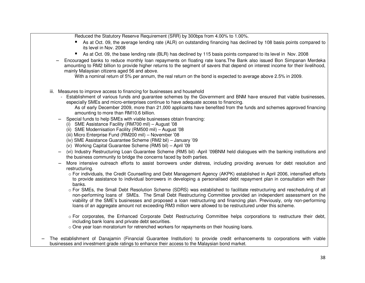Reduced the Statutory Reserve Requirement (SRR) by 300bps from 4.00% to 1.00%.

- As at Oct. 09, the average lending rate (ALR) on outstanding financing has declined by 108 basis points compared to its level in Nov. 2008
- As at Oct. 09, the base lending rate (BLR) has declined by 115 basis points compared to its level in Nov. 2008
- Encouraged banks to reduce monthly loan repayments on floating rate loans. The Bank also issued Bon Simpanan Merdeka amounting to RM2 billion to provide higher returns to the segment of savers that depend on interest income for their livelihood, mainly Malaysian citizens aged 56 and above.

With a nominal return of 5% per annum, the real return on the bond is expected to average above 2.5% in 2009.

- iii. Measures to improve access to financing for businesses and household
	- Establishment of various funds and guarantee schemes by the Government and BNM have ensured that viable businesses, especially SMEs and micro-enterprises continue to have adequate access to financing.

As of early December 2009, more than 21,000 applicants have benefited from the funds and schemes approved financing amounting to more than RM10.6 billion.

- − Special funds to help SMEs with viable businesses obtain financing:
	- (i) SME Assistance Facility (RM700 mil) August '08
	- (ii) SME Modernisation Facility (RM500 mil) August '08
	- (iii) Micro Enterprise Fund (RM200 mil) November '08
	- (iv) SME Assistance Guarantee Scheme (RM2 bil) January '09
	- (v) Working Capital Guarantee Scheme (RM5 bil) April '09
- − (vi) Industry Restructuring Loan Guarantee Scheme (RM5 bil) -April '09BNM held dialogues with the banking institutions and the business community to bridge the concerns faced by both parties.
- − More intensive outreach efforts to assist borrowers under distress, including providing avenues for debt resolution and restructuring.
	- o For individuals, the Credit Counselling and Debt Management Agency (AKPK) established in April 2006, intensified efforts to provide assistance to individual borrowers in developing a personalised debt repayment plan in consultation with their banks.
	- o For SMEs, the Small Debt Resolution Scheme (SDRS) was established to facilitate restructuring and rescheduling of all non-performing loans of SMEs. The Small Debt Restructuring Committee provided an independent assessment on the viability of the SME's businesses and proposed a loan restructuring and financing plan. Previously, only non-performing loans of an aggregate amount not exceeding RM3 million were allowed to be restructured under this scheme.
	- o For corporates, the Enhanced Corporate Debt Restructuring Committee helps corporations to restructure their debt, including bank loans and private debt securities.
	- $\circ$  One year loan moratorium for retrenched workers for repayments on their housing loans.
- − The establishment of Danajamin (Financial Guarantee Institution) to provide credit enhancements to corporations with viable businesses and investment grade ratings to enhance their access to the Malaysian bond market.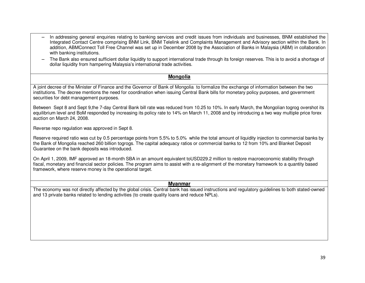- − In addressing general enquiries relating to banking services and credit issues from individuals and businesses, BNM established the Integrated Contact Centre comprising BNM Link, BNM Telelink and Complaints Management and Advisory section within the Bank. In addition, ABMConnect Toll Free Channel was set up in December 2008 by the Association of Banks in Malaysia (ABM) in collaboration with banking institutions.
- − The Bank also ensured sufficient dollar liquidity to support international trade through its foreign reserves. This is to avoid a shortage of dollar liquidity from hampering Malaysia's international trade activities.

#### **Mongolia**

A joint decree of the Minister of Finance and the Governor of Bank of Mongolia to formalize the exchange of information between the two institutions. The decree mentions the need for coordination when issuing Central Bank bills for monetary policy purposes, and government securities for debt management purposes.

Between Sept 8 and Sept 9,the 7-day Central Bank bill rate was reduced from 10.25 to 10%. In early March, the Mongolian togrog overshot its equilibrium level and BoM responded by increasing its policy rate to 14% on March 11, 2008 and by introducing a two way multiple price forex auction on March 24, 2008.

Reverse repo regulation was approved in Sept 8.

Reserve required ratio was cut by 0.5 percentage points from 5.5% to 5.0% while the total amount of liquidity injection to commercial banks by the Bank of Mongolia reached 260 billion togrogs. The capital adequacy ratios or commercial banks to 12 from 10% and Blanket Deposit Guarantee on the bank deposits was introduced.

On April 1, 2009, IMF approved an 18-month SBA in an amount equivalent toUSD229.2 million to restore macroeconomic stability through fiscal, monetary and financial sector policies. The program aims to assist with a re-alignment of the monetary framework to a quantity based framework, where reserve money is the operational target.

#### **Myanmar**

The economy was not directly affected by the global crisis. Central bank has issued instructions and regulatory guidelines to both stated-owned and 13 private banks related to lending activities (to create quality loans and reduce NPLs).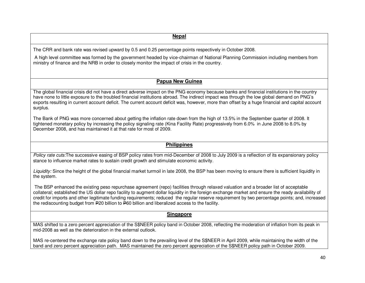### **Nepal**

The CRR and bank rate was revised upward by 0.5 and 0.25 percentage points respectively in October 2008.

 A high level committee was formed by the government headed by vice-chairman of National Planning Commission including members from ministry of finance and the NRB in order to closely monitor the impact of crisis in the country.

#### **Papua New Guinea**

The global financial crisis did not have a direct adverse impact on the PNG economy because banks and financial institutions in the country have none to little exposure to the troubled financial institutions abroad. The indirect impact was through the low global demand on PNG's exports resulting in current account deficit. The current account deficit was, however, more than offset by a huge financial and capital account surplus.

The Bank of PNG was more concerned about getting the inflation rate down from the high of 13.5% in the September quarter of 2008. It tightened monetary policy by increasing the policy signaling rate (Kina Facility Rate) progressively from 6.0% in June 2008 to 8.0% by December 2008, and has maintained it at that rate for most of 2009.

### **Philippines**

*Policy rate cuts:*The successive easing of BSP policy rates from mid-December of 2008 to July 2009 is a reflection of its expansionary policy stance to influence market rates to sustain credit growth and stimulate economic activity.

*Liquidity:* Since the height of the global financial market turmoil in late 2008, the BSP has been moving to ensure there is sufficient liquidity in the system.

 The BSP enhanced the existing peso repurchase agreement (repo) facilities through relaxed valuation and a broader list of acceptable collateral; established the US dollar repo facility to augment dollar liquidity in the foreign exchange market and ensure the ready availability of credit for imports and other legitimate funding requirements; reduced the regular reserve requirement by two percentage points; and, increased the rediscounting budget from P20 billion to P60 billion and liberalized access to the facility.

#### **Singapore**

MAS shifted to a zero percent appreciation of the S\$NEER policy band in October 2008, reflecting the moderation of inflation from its peak in mid-2008 as well as the deterioration in the external outlook.

MAS re-centered the exchange rate policy band down to the prevailing level of the S\$NEER in April 2009, while maintaining the width of the band and zero percent appreciation path. MAS maintained the zero percent appreciation of the S\$NEER policy path in October 2009.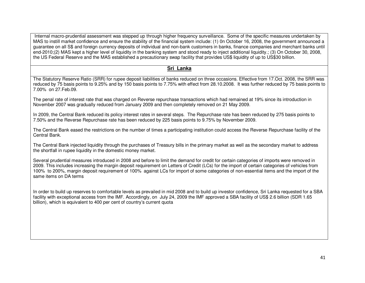Internal macro-prudential assessment was stepped up through higher frequency surveillance. Some of the specific measures undertaken by MAS to instill market confidence and ensure the stability of the financial system include: (1) 0n October 16, 2008, the government announced a guarantee on all S\$ and foreign currency deposits of individual and non-bank customers in banks, finance companies and merchant banks until end-2010;(2) MAS kept a higher level of liquidity in the banking system and stood ready to inject additional liquidity.; (3) On October 30, 2008, the US Federal Reserve and the MAS established a precautionary swap facility that provides US\$ liquidity of up to US\$30 billion.

#### **Sri Lanka**

The Statutory Reserve Ratio (SRR) for rupee deposit liabilities of banks reduced on three occasions. Effective from 17.Oct. 2008, the SRR was reduced by 75 basis points to 9.25% and by 150 basis points to 7.75% with effect from 28.10.2008. It was further reduced by 75 basis points to 7.00% on 27.Feb.09.

The penal rate of interest rate that was charged on Reverse repurchase transactions which had remained at 19% since its introduction in November 2007 was gradually reduced from January 2009 and then completely removed on 21 May 2009.

In 2009, the Central Bank reduced its policy interest rates in several steps. The Repurchase rate has been reduced by 275 basis points to 7.50% and the Reverse Repurchase rate has been reduced by 225 basis points to 9.75% by November 2009.

The Central Bank eased the restrictions on the number of times a participating institution could access the Reverse Repurchase facility of the Central Bank.

The Central Bank injected liquidity through the purchases of Treasury bills in the primary market as well as the secondary market to address the shortfall in rupee liquidity in the domestic money market.

Several prudential measures introduced in 2008 and before to limit the demand for credit for certain categories of imports were removed in 2009. This includes increasing the margin deposit requirement on Letters of Credit (LCs) for the import of certain categories of vehicles from 100% to 200%, margin deposit requirement of 100% against LCs for import of some categories of non-essential items and the import of the same items on DA terms

In order to build up reserves to comfortable levels as prevailed in mid 2008 and to build up investor confidence, Sri Lanka requested for a SBA facility with exceptional access from the IMF. Accordingly, on July 24, 2009 the IMF approved a SBA facility of US\$ 2.6 billion (SDR 1.65 billion), which is equivalent to 400 per cent of country's current quota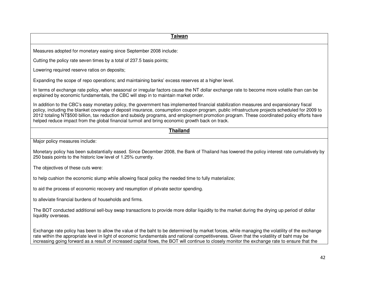**Taiwan** Measures adopted for monetary easing since September 2008 include: Cutting the policy rate seven times by a total of 237.5 basis points; Lowering required reserve ratios on deposits; Expanding the scope of repo operations; and maintaining banks' excess reserves at a higher level. In terms of exchange rate policy, when seasonal or irregular factors cause the NT dollar exchange rate to become more volatile than can be explained by economic fundamentals, the CBC will step in to maintain market order. In addition to the CBC's easy monetary policy, the government has implemented financial stabilization measures and expansionary fiscal policy, including the blanket coverage of deposit insurance, consumption coupon program, public infrastructure projects scheduled for 2009 to 2012 totaling NT\$500 billion, tax reduction and subsidy programs, and employment promotion program. These coordinated policy efforts have helped reduce impact from the global financial turmoil and bring economic growth back on track. **Thailand** Major policy measures include: Monetary policy has been substantially eased. Since December 2008, the Bank of Thailand has lowered the policy interest rate cumulatively by 250 basis points to the historic low level of 1.25% currently. The objectives of these cuts were: to help cushion the economic slump while allowing fiscal policy the needed time to fully materialize; to aid the process of economic recovery and resumption of private sector spending. to alleviate financial burdens of households and firms. The BOT conducted additional sell-buy swap transactions to provide more dollar liquidity to the market during the drying up period of dollar liquidity overseas. Exchange rate policy has been to allow the value of the baht to be determined by market forces, while managing the volatility of the exchange rate within the appropriate level in light of economic fundamentals and national competitiveness. Given that the volatility of baht may be increasing going forward as a result of increased capital flows, the BOT will continue to closely monitor the exchange rate to ensure that the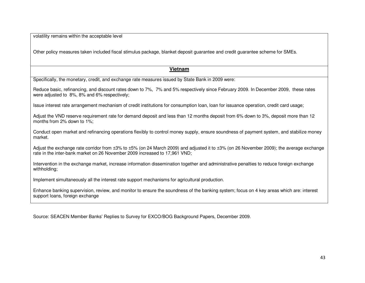volatility remains within the acceptable level

Other policy measures taken included fiscal stimulus package, blanket deposit guarantee and credit guarantee scheme for SMEs.

#### **Vietnam**

Specifically, the monetary, credit, and exchange rate measures issued by State Bank in 2009 were:

Reduce basic, refinancing, and discount rates down to 7%, 7% and 5% respectively since February 2009. In December 2009, these rates were adjusted to 8%, 8% and 6% respectively;

Issue interest rate arrangement mechanism of credit institutions for consumption loan, loan for issuance operation, credit card usage;

Adjust the VND reserve requirement rate for demand deposit and less than 12 months deposit from 6% down to 3%, deposit more than 12 months from 2% down to 1%;

Conduct open market and refinancing operations flexibly to control money supply, ensure soundness of payment system, and stabilize money market.

Adjust the exchange rate corridor from ±3% to ±5% (on 24 March 2009) and adjusted it to ±3% (on 26 November 2009); the average exchange rate in the inter-bank market on 26 November 2009 increased to 17,961 VND;

Intervention in the exchange market, increase information dissemination together and administrative penalties to reduce foreign exchange withholding;

Implement simultaneously all the interest rate support mechanisms for agricultural production.

Enhance banking supervision, review, and monitor to ensure the soundness of the banking system; focus on 4 key areas which are: interest support loans, foreign exchange

Source: SEACEN Member Banks' Replies to Survey for EXCO/BOG Background Papers, December 2009.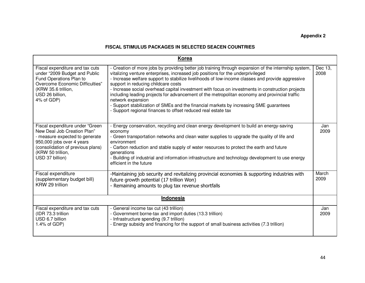# **Appendix 2**

#### **FISCAL STIMULUS PACKAGES IN SELECTED SEACEN COUNTRIES**

|                                                                                                                                                                                                            | <b>Korea</b>                                                                                                                                                                                                                                                                                                                                                                                                                                                                                                                                                                                                                                                                                                            |                 |  |  |
|------------------------------------------------------------------------------------------------------------------------------------------------------------------------------------------------------------|-------------------------------------------------------------------------------------------------------------------------------------------------------------------------------------------------------------------------------------------------------------------------------------------------------------------------------------------------------------------------------------------------------------------------------------------------------------------------------------------------------------------------------------------------------------------------------------------------------------------------------------------------------------------------------------------------------------------------|-----------------|--|--|
| Fiscal expenditure and tax cuts<br>under "2009 Budget and Public<br>Fund Operations Plan to<br>Overcome Economic Difficulties"<br>(KRW 35.6 trillion,<br>USD 26 billion,<br>4% of GDP)                     | - Creation of more jobs by providing better job training through expansion of the internship system,<br>vitalizing venture enterprises, increased job positions for the underprivileged<br>- Increase welfare support to stabilize livelihoods of low-income classes and provide aggressive<br>support in reducing childcare costs<br>- Increase social overhead capital investment with focus on investments in construction projects<br>including leading projects for advancement of the metropolitan economy and provincial traffic<br>network expansion<br>- Support stabilization of SMEs and the financial markets by increasing SME guarantees<br>- Support regional finances to offset reduced real estate tax | Dec 13.<br>2008 |  |  |
| Fiscal expenditure under "Green<br>New Deal Job Creation Plan"<br>- measure expected to generate<br>950,000 jobs over 4 years<br>(consolidation of previous plans)<br>(KRW 50 trillion,<br>USD 37 billion) | - Energy conservation, recycling and clean energy development to build an energy-saving<br>economy<br>- Green transportation networks and clean water supplies to upgrade the quality of life and<br>environment<br>- Carbon reduction and stable supply of water resources to protect the earth and future<br>generations<br>- Building of industrial and information infrastructure and technology development to use energy<br>efficient in the future                                                                                                                                                                                                                                                               | Jan<br>2009     |  |  |
| Fiscal expenditure<br>(supplementary budget bill)<br>KRW 29 trillion                                                                                                                                       | -Maintaining job security and revitalizing provincial economies & supporting industries with<br>future growth potential (17 trillion Won)<br>- Remaining amounts to plug tax revenue shortfalls                                                                                                                                                                                                                                                                                                                                                                                                                                                                                                                         | March<br>2009   |  |  |
| <b>Indonesia</b>                                                                                                                                                                                           |                                                                                                                                                                                                                                                                                                                                                                                                                                                                                                                                                                                                                                                                                                                         |                 |  |  |
| Fiscal expenditure and tax cuts<br>(IDR 73.3 trillion<br>USD 6.7 billion<br>1.4% of GDP)                                                                                                                   | - General income tax cut (43 trillion)<br>- Government borne-tax and import duties (13.3 trillion)<br>- Infrastructure spending (9.7 trillion)<br>Energy subsidy and financing for the support of small business activities (7.3 trillion)                                                                                                                                                                                                                                                                                                                                                                                                                                                                              | Jan<br>2009     |  |  |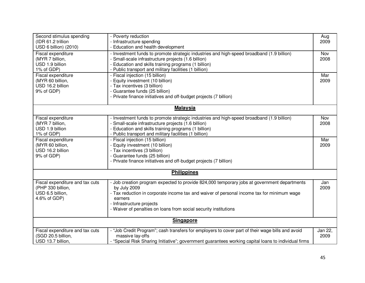| Second stimulus spending<br>(IDR 61.2 trillion | - Poverty reduction<br>- Infrastructure spending                                                     | Aug<br>2009 |
|------------------------------------------------|------------------------------------------------------------------------------------------------------|-------------|
| USD 6 billion) (2010)                          | - Education and health development                                                                   |             |
| Fiscal expenditure                             | - Investment funds to promote strategic industries and high-speed broadband (1.9 billion)            | <b>Nov</b>  |
| (MYR 7 billion,                                | - Small-scale infrastructure projects (1.6 billion)                                                  | 2008        |
| USD 1.9 billion                                | - Education and skills training programs (1 billion)                                                 |             |
| 1% of GDP)                                     | - Public transport and military facilities (1 billion)                                               |             |
| Fiscal expenditure                             | - Fiscal injection (15 billion)                                                                      | Mar         |
| (MYR 60 billion,                               | - Equity investment (10 billion)                                                                     | 2009        |
| USD 16.2 billion                               | - Tax incentives (3 billion)                                                                         |             |
| 9% of GDP)                                     | - Guarantee funds (25 billion)                                                                       |             |
|                                                | - Private finance initiatives and off-budget projects (7 billion)                                    |             |
|                                                |                                                                                                      |             |
|                                                | <b>Malaysia</b>                                                                                      |             |
| Fiscal expenditure                             | - Investment funds to promote strategic industries and high-speed broadband (1.9 billion)            | Nov         |
| (MYR 7 billion,                                | - Small-scale infrastructure projects (1.6 billion)                                                  | 2008        |
| USD 1.9 billion                                | - Education and skills training programs (1 billion)                                                 |             |
| 1% of GDP)                                     | - Public transport and military facilities (1 billion)                                               |             |
| Fiscal expenditure                             | - Fiscal injection (15 billion)                                                                      | Mar         |
| (MYR 60 billion,                               | - Equity investment (10 billion)                                                                     | 2009        |
| USD 16.2 billion                               | - Tax incentives (3 billion)                                                                         |             |
| 9% of GDP)                                     | - Guarantee funds (25 billion)                                                                       |             |
|                                                | - Private finance initiatives and off-budget projects (7 billion)                                    |             |
|                                                | <b>Philippines</b>                                                                                   |             |
|                                                |                                                                                                      |             |
| Fiscal expenditure and tax cuts                | - Job creation program expected to provide 824,000 temporary jobs at government departments          | Jan         |
| (PHP 330 billion,                              | by July 2009                                                                                         | 2009        |
| USD 6.5 billion,                               | - Tax reduction in corporate income tax and waiver of personal income tax for minimum wage           |             |
| 4.6% of GDP)                                   | earners                                                                                              |             |
|                                                | - Infrastructure projects                                                                            |             |
|                                                | - Waiver of penalties on loans from social security institutions                                     |             |
|                                                | <b>Singapore</b>                                                                                     |             |
|                                                |                                                                                                      |             |
| Fiscal expenditure and tax cuts                | - "Job Credit Program"; cash transfers for employers to cover part of their wage bills and avoid     | Jan 22,     |
| (SGD 20.5 billion,                             | massive lay-offs                                                                                     | 2009        |
| USD 13.7 billion,                              | - "Special Risk Sharing Initiative"; government guarantees working capital loans to individual firms |             |